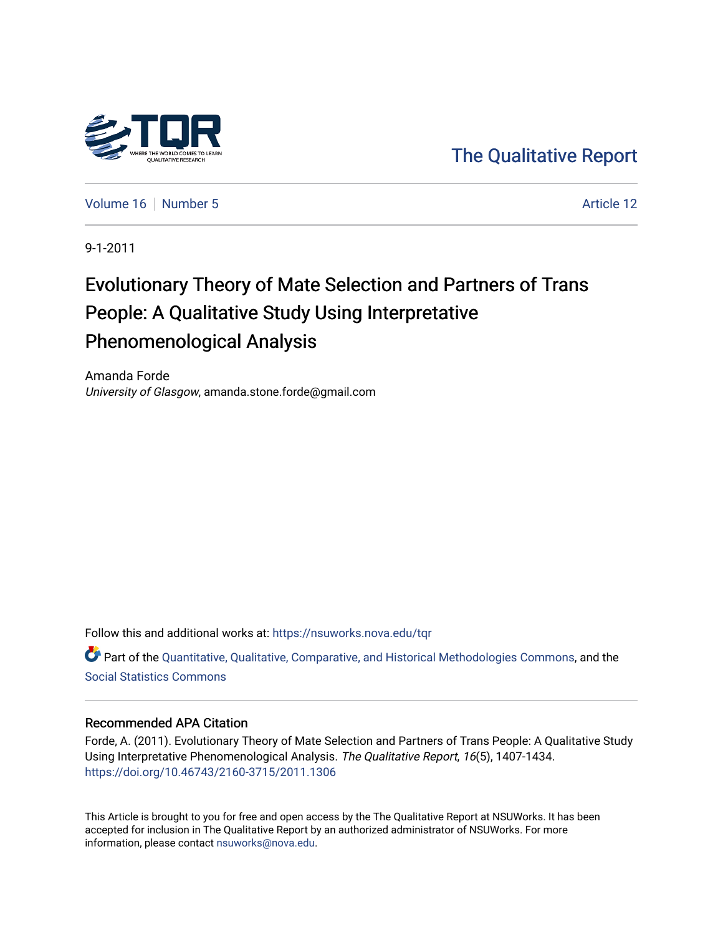

[The Qualitative Report](https://nsuworks.nova.edu/tqr) 

[Volume 16](https://nsuworks.nova.edu/tqr/vol16) [Number 5](https://nsuworks.nova.edu/tqr/vol16/iss5) Article 12

9-1-2011

# Evolutionary Theory of Mate Selection and Partners of Trans People: A Qualitative Study Using Interpretative Phenomenological Analysis

Amanda Forde University of Glasgow, amanda.stone.forde@gmail.com

Follow this and additional works at: [https://nsuworks.nova.edu/tqr](https://nsuworks.nova.edu/tqr?utm_source=nsuworks.nova.edu%2Ftqr%2Fvol16%2Fiss5%2F12&utm_medium=PDF&utm_campaign=PDFCoverPages) 

Part of the [Quantitative, Qualitative, Comparative, and Historical Methodologies Commons,](http://network.bepress.com/hgg/discipline/423?utm_source=nsuworks.nova.edu%2Ftqr%2Fvol16%2Fiss5%2F12&utm_medium=PDF&utm_campaign=PDFCoverPages) and the [Social Statistics Commons](http://network.bepress.com/hgg/discipline/1275?utm_source=nsuworks.nova.edu%2Ftqr%2Fvol16%2Fiss5%2F12&utm_medium=PDF&utm_campaign=PDFCoverPages) 

## Recommended APA Citation

Forde, A. (2011). Evolutionary Theory of Mate Selection and Partners of Trans People: A Qualitative Study Using Interpretative Phenomenological Analysis. The Qualitative Report, 16(5), 1407-1434. <https://doi.org/10.46743/2160-3715/2011.1306>

This Article is brought to you for free and open access by the The Qualitative Report at NSUWorks. It has been accepted for inclusion in The Qualitative Report by an authorized administrator of NSUWorks. For more information, please contact [nsuworks@nova.edu.](mailto:nsuworks@nova.edu)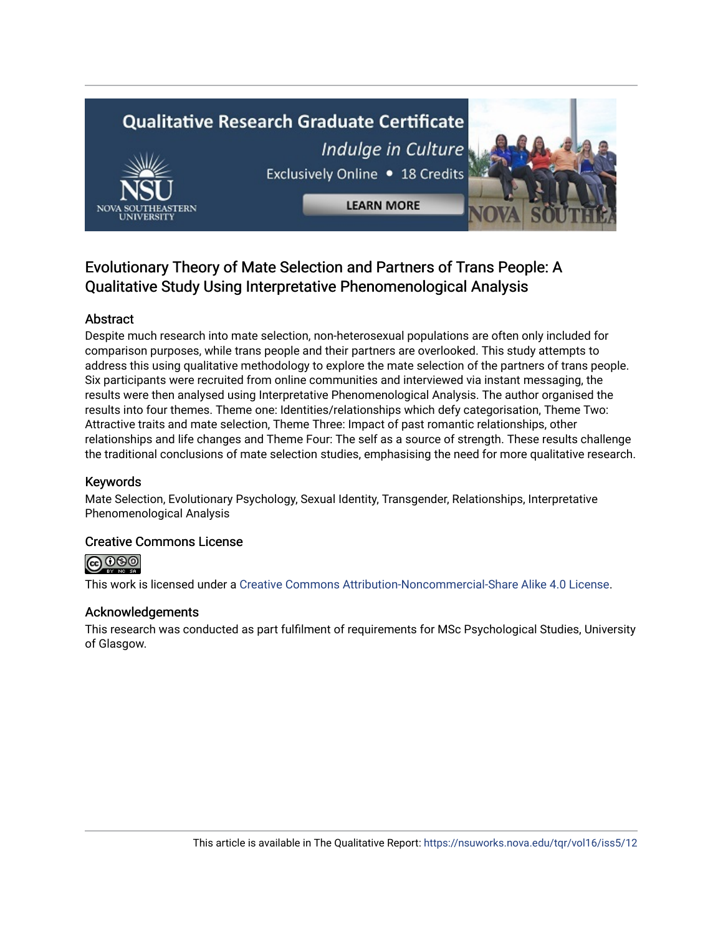# **Qualitative Research Graduate Certificate** Indulge in Culture Exclusively Online . 18 Credits



**LEARN MORE** 

# Evolutionary Theory of Mate Selection and Partners of Trans People: A Qualitative Study Using Interpretative Phenomenological Analysis

# Abstract

Despite much research into mate selection, non-heterosexual populations are often only included for comparison purposes, while trans people and their partners are overlooked. This study attempts to address this using qualitative methodology to explore the mate selection of the partners of trans people. Six participants were recruited from online communities and interviewed via instant messaging, the results were then analysed using Interpretative Phenomenological Analysis. The author organised the results into four themes. Theme one: Identities/relationships which defy categorisation, Theme Two: Attractive traits and mate selection, Theme Three: Impact of past romantic relationships, other relationships and life changes and Theme Four: The self as a source of strength. These results challenge the traditional conclusions of mate selection studies, emphasising the need for more qualitative research.

# Keywords

Mate Selection, Evolutionary Psychology, Sexual Identity, Transgender, Relationships, Interpretative Phenomenological Analysis

# Creative Commons License



This work is licensed under a [Creative Commons Attribution-Noncommercial-Share Alike 4.0 License](https://creativecommons.org/licenses/by-nc-sa/4.0/).

# Acknowledgements

This research was conducted as part fulfilment of requirements for MSc Psychological Studies, University of Glasgow.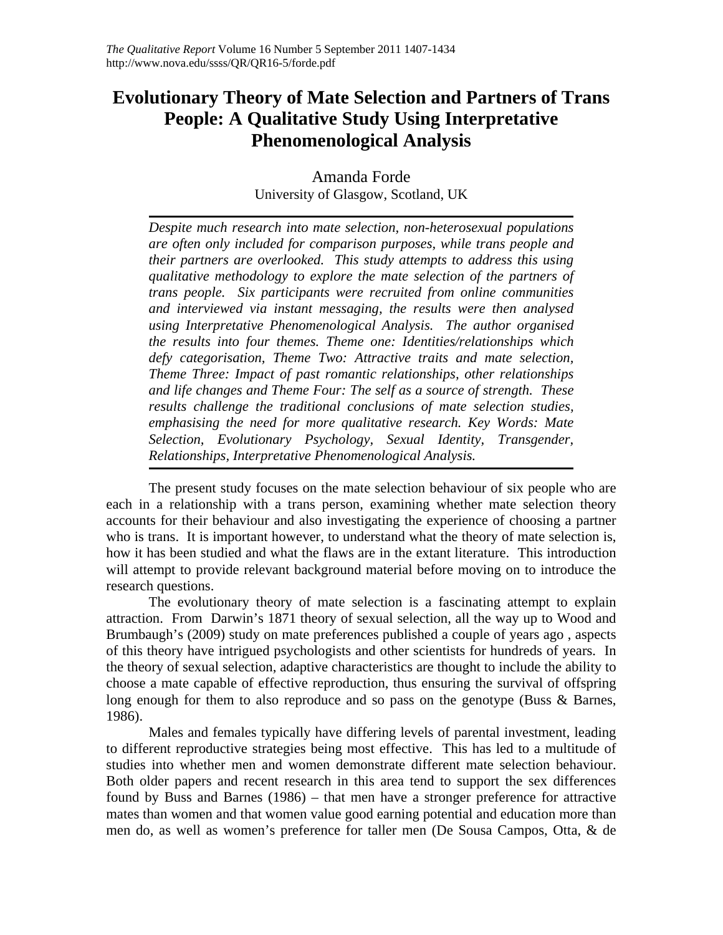# **Evolutionary Theory of Mate Selection and Partners of Trans People: A Qualitative Study Using Interpretative Phenomenological Analysis**

Amanda Forde University of Glasgow, Scotland, UK

*Despite much research into mate selection, non-heterosexual populations are often only included for comparison purposes, while trans people and their partners are overlooked. This study attempts to address this using qualitative methodology to explore the mate selection of the partners of trans people. Six participants were recruited from online communities and interviewed via instant messaging, the results were then analysed using Interpretative Phenomenological Analysis. The author organised the results into four themes. Theme one: Identities/relationships which defy categorisation, Theme Two: Attractive traits and mate selection, Theme Three: Impact of past romantic relationships, other relationships and life changes and Theme Four: The self as a source of strength. These results challenge the traditional conclusions of mate selection studies, emphasising the need for more qualitative research. Key Words: Mate Selection, Evolutionary Psychology, Sexual Identity, Transgender, Relationships, Interpretative Phenomenological Analysis.* 

The present study focuses on the mate selection behaviour of six people who are each in a relationship with a trans person, examining whether mate selection theory accounts for their behaviour and also investigating the experience of choosing a partner who is trans. It is important however, to understand what the theory of mate selection is, how it has been studied and what the flaws are in the extant literature. This introduction will attempt to provide relevant background material before moving on to introduce the research questions.

The evolutionary theory of mate selection is a fascinating attempt to explain attraction. From Darwin's 1871 theory of sexual selection, all the way up to Wood and Brumbaugh's (2009) study on mate preferences published a couple of years ago , aspects of this theory have intrigued psychologists and other scientists for hundreds of years. In the theory of sexual selection, adaptive characteristics are thought to include the ability to choose a mate capable of effective reproduction, thus ensuring the survival of offspring long enough for them to also reproduce and so pass on the genotype (Buss & Barnes, 1986).

Males and females typically have differing levels of parental investment, leading to different reproductive strategies being most effective. This has led to a multitude of studies into whether men and women demonstrate different mate selection behaviour. Both older papers and recent research in this area tend to support the sex differences found by Buss and Barnes (1986) – that men have a stronger preference for attractive mates than women and that women value good earning potential and education more than men do, as well as women's preference for taller men (De Sousa Campos, Otta, & de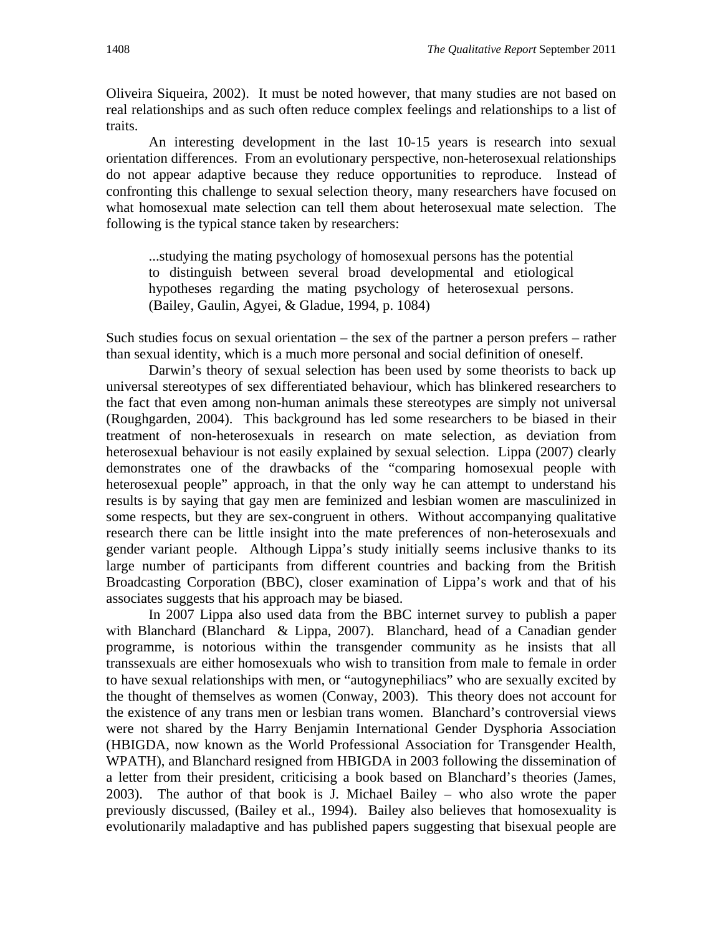Oliveira Siqueira, 2002). It must be noted however, that many studies are not based on real relationships and as such often reduce complex feelings and relationships to a list of traits.

An interesting development in the last 10-15 years is research into sexual orientation differences. From an evolutionary perspective, non-heterosexual relationships do not appear adaptive because they reduce opportunities to reproduce. Instead of confronting this challenge to sexual selection theory, many researchers have focused on what homosexual mate selection can tell them about heterosexual mate selection. The following is the typical stance taken by researchers:

...studying the mating psychology of homosexual persons has the potential to distinguish between several broad developmental and etiological hypotheses regarding the mating psychology of heterosexual persons. (Bailey, Gaulin, Agyei, & Gladue, 1994, p. 1084)

Such studies focus on sexual orientation – the sex of the partner a person prefers – rather than sexual identity, which is a much more personal and social definition of oneself.

Darwin's theory of sexual selection has been used by some theorists to back up universal stereotypes of sex differentiated behaviour, which has blinkered researchers to the fact that even among non-human animals these stereotypes are simply not universal (Roughgarden, 2004). This background has led some researchers to be biased in their treatment of non-heterosexuals in research on mate selection, as deviation from heterosexual behaviour is not easily explained by sexual selection. Lippa (2007) clearly demonstrates one of the drawbacks of the "comparing homosexual people with heterosexual people" approach, in that the only way he can attempt to understand his results is by saying that gay men are feminized and lesbian women are masculinized in some respects, but they are sex-congruent in others. Without accompanying qualitative research there can be little insight into the mate preferences of non-heterosexuals and gender variant people. Although Lippa's study initially seems inclusive thanks to its large number of participants from different countries and backing from the British Broadcasting Corporation (BBC), closer examination of Lippa's work and that of his associates suggests that his approach may be biased.

In 2007 Lippa also used data from the BBC internet survey to publish a paper with Blanchard (Blanchard & Lippa, 2007). Blanchard, head of a Canadian gender programme, is notorious within the transgender community as he insists that all transsexuals are either homosexuals who wish to transition from male to female in order to have sexual relationships with men, or "autogynephiliacs" who are sexually excited by the thought of themselves as women (Conway, 2003). This theory does not account for the existence of any trans men or lesbian trans women. Blanchard's controversial views were not shared by the Harry Benjamin International Gender Dysphoria Association (HBIGDA, now known as the World Professional Association for Transgender Health, WPATH), and Blanchard resigned from HBIGDA in 2003 following the dissemination of a letter from their president, criticising a book based on Blanchard's theories (James, 2003). The author of that book is J. Michael Bailey – who also wrote the paper previously discussed, (Bailey et al., 1994). Bailey also believes that homosexuality is evolutionarily maladaptive and has published papers suggesting that bisexual people are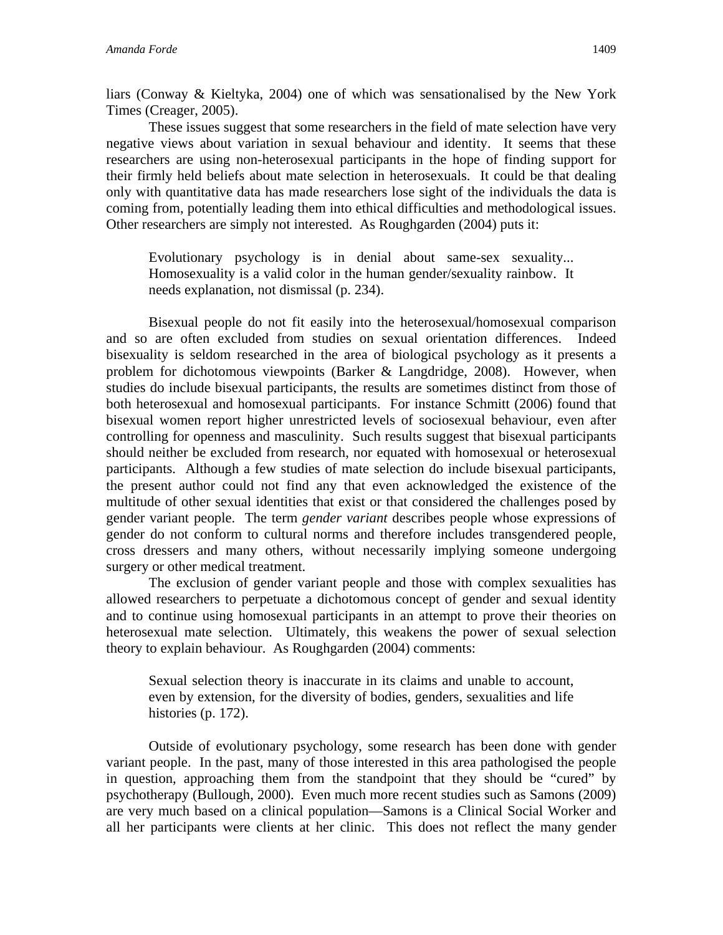liars (Conway & Kieltyka, 2004) one of which was sensationalised by the New York Times (Creager, 2005).

These issues suggest that some researchers in the field of mate selection have very negative views about variation in sexual behaviour and identity. It seems that these researchers are using non-heterosexual participants in the hope of finding support for their firmly held beliefs about mate selection in heterosexuals. It could be that dealing only with quantitative data has made researchers lose sight of the individuals the data is coming from, potentially leading them into ethical difficulties and methodological issues. Other researchers are simply not interested. As Roughgarden (2004) puts it:

Evolutionary psychology is in denial about same-sex sexuality... Homosexuality is a valid color in the human gender/sexuality rainbow. It needs explanation, not dismissal (p. 234).

Bisexual people do not fit easily into the heterosexual/homosexual comparison and so are often excluded from studies on sexual orientation differences. Indeed bisexuality is seldom researched in the area of biological psychology as it presents a problem for dichotomous viewpoints (Barker & Langdridge, 2008). However, when studies do include bisexual participants, the results are sometimes distinct from those of both heterosexual and homosexual participants. For instance Schmitt (2006) found that bisexual women report higher unrestricted levels of sociosexual behaviour, even after controlling for openness and masculinity. Such results suggest that bisexual participants should neither be excluded from research, nor equated with homosexual or heterosexual participants. Although a few studies of mate selection do include bisexual participants, the present author could not find any that even acknowledged the existence of the multitude of other sexual identities that exist or that considered the challenges posed by gender variant people. The term *gender variant* describes people whose expressions of gender do not conform to cultural norms and therefore includes transgendered people, cross dressers and many others, without necessarily implying someone undergoing surgery or other medical treatment.

The exclusion of gender variant people and those with complex sexualities has allowed researchers to perpetuate a dichotomous concept of gender and sexual identity and to continue using homosexual participants in an attempt to prove their theories on heterosexual mate selection. Ultimately, this weakens the power of sexual selection theory to explain behaviour. As Roughgarden (2004) comments:

Sexual selection theory is inaccurate in its claims and unable to account, even by extension, for the diversity of bodies, genders, sexualities and life histories (p. 172).

Outside of evolutionary psychology, some research has been done with gender variant people. In the past, many of those interested in this area pathologised the people in question, approaching them from the standpoint that they should be "cured" by psychotherapy (Bullough, 2000). Even much more recent studies such as Samons (2009) are very much based on a clinical population—Samons is a Clinical Social Worker and all her participants were clients at her clinic. This does not reflect the many gender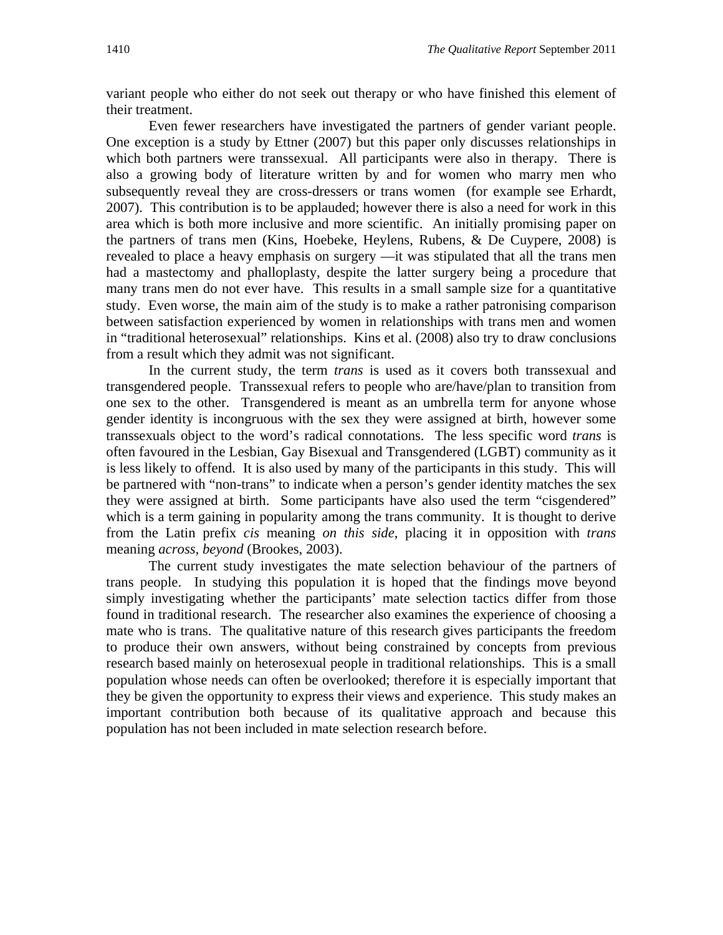variant people who either do not seek out therapy or who have finished this element of their treatment.

Even fewer researchers have investigated the partners of gender variant people. One exception is a study by Ettner (2007) but this paper only discusses relationships in which both partners were transsexual. All participants were also in therapy. There is also a growing body of literature written by and for women who marry men who subsequently reveal they are cross-dressers or trans women (for example see Erhardt, 2007). This contribution is to be applauded; however there is also a need for work in this area which is both more inclusive and more scientific. An initially promising paper on the partners of trans men (Kins, Hoebeke, Heylens, Rubens, & De Cuypere, 2008) is revealed to place a heavy emphasis on surgery —it was stipulated that all the trans men had a mastectomy and phalloplasty, despite the latter surgery being a procedure that many trans men do not ever have. This results in a small sample size for a quantitative study. Even worse, the main aim of the study is to make a rather patronising comparison between satisfaction experienced by women in relationships with trans men and women in "traditional heterosexual" relationships. Kins et al. (2008) also try to draw conclusions from a result which they admit was not significant.

In the current study, the term *trans* is used as it covers both transsexual and transgendered people. Transsexual refers to people who are/have/plan to transition from one sex to the other. Transgendered is meant as an umbrella term for anyone whose gender identity is incongruous with the sex they were assigned at birth, however some transsexuals object to the word's radical connotations. The less specific word *trans* is often favoured in the Lesbian, Gay Bisexual and Transgendered (LGBT) community as it is less likely to offend. It is also used by many of the participants in this study. This will be partnered with "non-trans" to indicate when a person's gender identity matches the sex they were assigned at birth. Some participants have also used the term "cisgendered" which is a term gaining in popularity among the trans community. It is thought to derive from the Latin prefix *cis* meaning *on this side*, placing it in opposition with *trans* meaning *across, beyond* (Brookes, 2003).

The current study investigates the mate selection behaviour of the partners of trans people. In studying this population it is hoped that the findings move beyond simply investigating whether the participants' mate selection tactics differ from those found in traditional research. The researcher also examines the experience of choosing a mate who is trans. The qualitative nature of this research gives participants the freedom to produce their own answers, without being constrained by concepts from previous research based mainly on heterosexual people in traditional relationships. This is a small population whose needs can often be overlooked; therefore it is especially important that they be given the opportunity to express their views and experience. This study makes an important contribution both because of its qualitative approach and because this population has not been included in mate selection research before.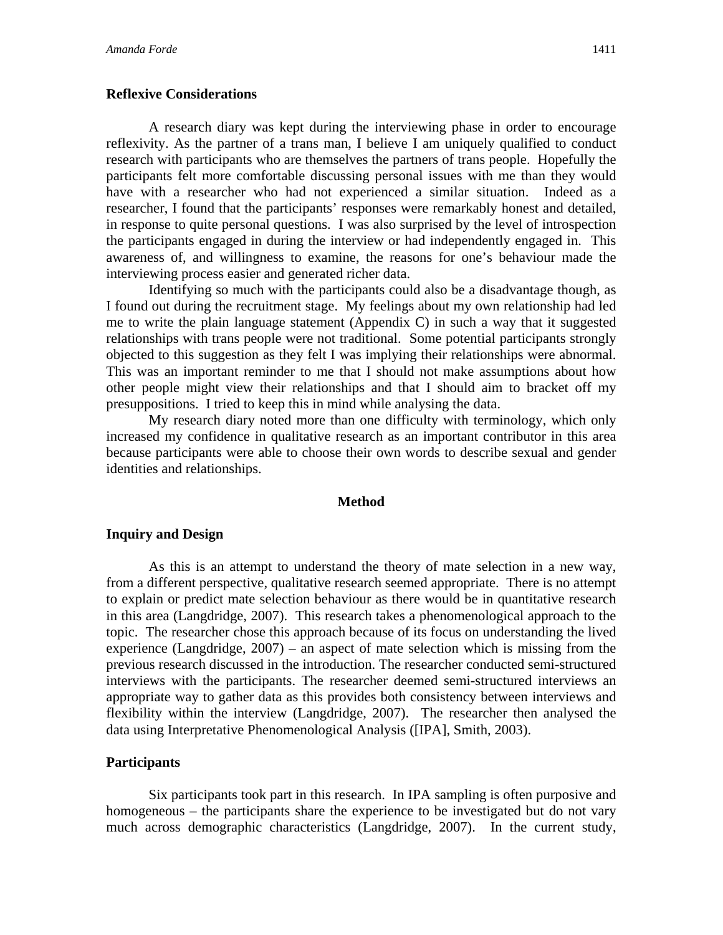## **Reflexive Considerations**

A research diary was kept during the interviewing phase in order to encourage reflexivity. As the partner of a trans man, I believe I am uniquely qualified to conduct research with participants who are themselves the partners of trans people. Hopefully the participants felt more comfortable discussing personal issues with me than they would have with a researcher who had not experienced a similar situation. Indeed as a researcher, I found that the participants' responses were remarkably honest and detailed, in response to quite personal questions. I was also surprised by the level of introspection the participants engaged in during the interview or had independently engaged in. This awareness of, and willingness to examine, the reasons for one's behaviour made the interviewing process easier and generated richer data.

Identifying so much with the participants could also be a disadvantage though, as I found out during the recruitment stage. My feelings about my own relationship had led me to write the plain language statement (Appendix C) in such a way that it suggested relationships with trans people were not traditional. Some potential participants strongly objected to this suggestion as they felt I was implying their relationships were abnormal. This was an important reminder to me that I should not make assumptions about how other people might view their relationships and that I should aim to bracket off my presuppositions. I tried to keep this in mind while analysing the data.

My research diary noted more than one difficulty with terminology, which only increased my confidence in qualitative research as an important contributor in this area because participants were able to choose their own words to describe sexual and gender identities and relationships.

#### **Method**

## **Inquiry and Design**

As this is an attempt to understand the theory of mate selection in a new way, from a different perspective, qualitative research seemed appropriate. There is no attempt to explain or predict mate selection behaviour as there would be in quantitative research in this area (Langdridge, 2007). This research takes a phenomenological approach to the topic. The researcher chose this approach because of its focus on understanding the lived experience (Langdridge, 2007) – an aspect of mate selection which is missing from the previous research discussed in the introduction. The researcher conducted semi-structured interviews with the participants. The researcher deemed semi-structured interviews an appropriate way to gather data as this provides both consistency between interviews and flexibility within the interview (Langdridge, 2007). The researcher then analysed the data using Interpretative Phenomenological Analysis ([IPA], Smith, 2003).

## **Participants**

Six participants took part in this research. In IPA sampling is often purposive and homogeneous – the participants share the experience to be investigated but do not vary much across demographic characteristics (Langdridge, 2007). In the current study,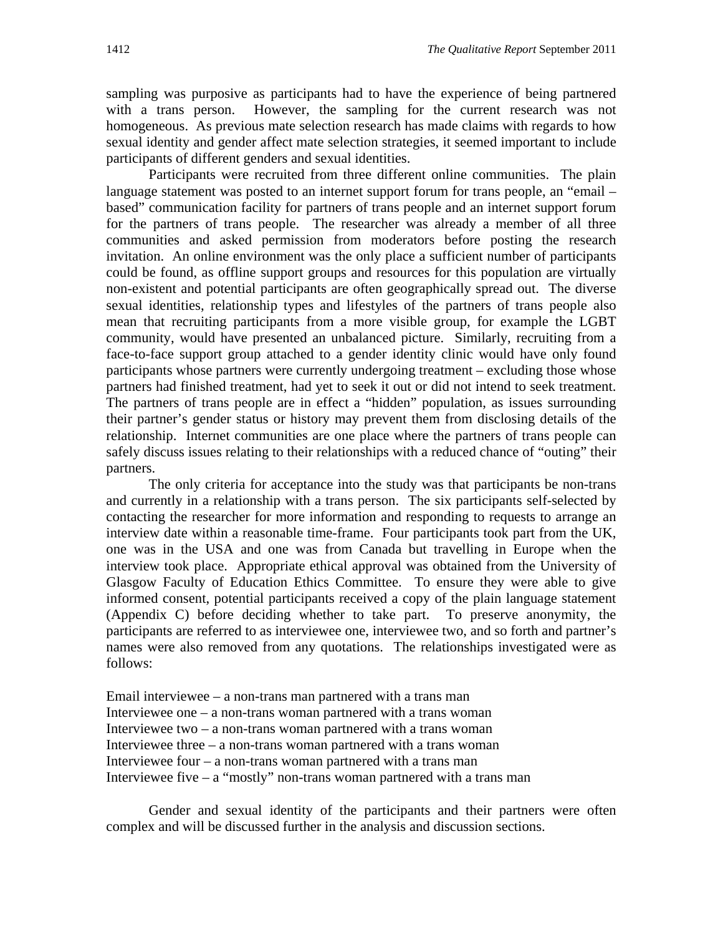sampling was purposive as participants had to have the experience of being partnered with a trans person. However, the sampling for the current research was not homogeneous. As previous mate selection research has made claims with regards to how sexual identity and gender affect mate selection strategies, it seemed important to include participants of different genders and sexual identities.

Participants were recruited from three different online communities. The plain language statement was posted to an internet support forum for trans people, an "email – based" communication facility for partners of trans people and an internet support forum for the partners of trans people. The researcher was already a member of all three communities and asked permission from moderators before posting the research invitation. An online environment was the only place a sufficient number of participants could be found, as offline support groups and resources for this population are virtually non-existent and potential participants are often geographically spread out. The diverse sexual identities, relationship types and lifestyles of the partners of trans people also mean that recruiting participants from a more visible group, for example the LGBT community, would have presented an unbalanced picture. Similarly, recruiting from a face-to-face support group attached to a gender identity clinic would have only found participants whose partners were currently undergoing treatment – excluding those whose partners had finished treatment, had yet to seek it out or did not intend to seek treatment. The partners of trans people are in effect a "hidden" population, as issues surrounding their partner's gender status or history may prevent them from disclosing details of the relationship. Internet communities are one place where the partners of trans people can safely discuss issues relating to their relationships with a reduced chance of "outing" their partners.

The only criteria for acceptance into the study was that participants be non-trans and currently in a relationship with a trans person. The six participants self-selected by contacting the researcher for more information and responding to requests to arrange an interview date within a reasonable time-frame. Four participants took part from the UK, one was in the USA and one was from Canada but travelling in Europe when the interview took place. Appropriate ethical approval was obtained from the University of Glasgow Faculty of Education Ethics Committee. To ensure they were able to give informed consent, potential participants received a copy of the plain language statement (Appendix C) before deciding whether to take part. To preserve anonymity, the participants are referred to as interviewee one, interviewee two, and so forth and partner's names were also removed from any quotations. The relationships investigated were as follows:

Email interviewee – a non-trans man partnered with a trans man Interviewee one – a non-trans woman partnered with a trans woman Interviewee two – a non-trans woman partnered with a trans woman Interviewee three – a non-trans woman partnered with a trans woman Interviewee four – a non-trans woman partnered with a trans man Interviewee five  $-$  a "mostly" non-trans woman partnered with a trans man

Gender and sexual identity of the participants and their partners were often complex and will be discussed further in the analysis and discussion sections.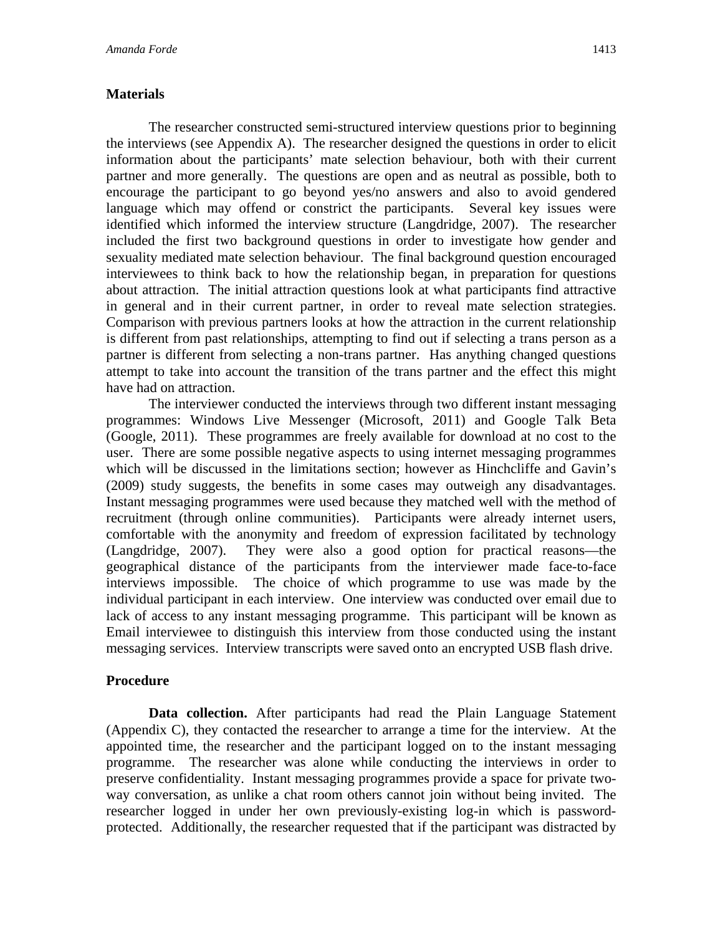## **Materials**

The researcher constructed semi-structured interview questions prior to beginning the interviews (see Appendix A). The researcher designed the questions in order to elicit information about the participants' mate selection behaviour, both with their current partner and more generally. The questions are open and as neutral as possible, both to encourage the participant to go beyond yes/no answers and also to avoid gendered language which may offend or constrict the participants. Several key issues were identified which informed the interview structure (Langdridge, 2007). The researcher included the first two background questions in order to investigate how gender and sexuality mediated mate selection behaviour. The final background question encouraged interviewees to think back to how the relationship began, in preparation for questions about attraction. The initial attraction questions look at what participants find attractive in general and in their current partner, in order to reveal mate selection strategies. Comparison with previous partners looks at how the attraction in the current relationship is different from past relationships, attempting to find out if selecting a trans person as a partner is different from selecting a non-trans partner. Has anything changed questions attempt to take into account the transition of the trans partner and the effect this might have had on attraction.

The interviewer conducted the interviews through two different instant messaging programmes: Windows Live Messenger (Microsoft, 2011) and Google Talk Beta (Google, 2011). These programmes are freely available for download at no cost to the user. There are some possible negative aspects to using internet messaging programmes which will be discussed in the limitations section; however as Hinchcliffe and Gavin's (2009) study suggests, the benefits in some cases may outweigh any disadvantages. Instant messaging programmes were used because they matched well with the method of recruitment (through online communities). Participants were already internet users, comfortable with the anonymity and freedom of expression facilitated by technology (Langdridge, 2007). They were also a good option for practical reasons—the geographical distance of the participants from the interviewer made face-to-face interviews impossible. The choice of which programme to use was made by the individual participant in each interview. One interview was conducted over email due to lack of access to any instant messaging programme. This participant will be known as Email interviewee to distinguish this interview from those conducted using the instant messaging services. Interview transcripts were saved onto an encrypted USB flash drive.

## **Procedure**

**Data collection.** After participants had read the Plain Language Statement (Appendix C), they contacted the researcher to arrange a time for the interview. At the appointed time, the researcher and the participant logged on to the instant messaging programme. The researcher was alone while conducting the interviews in order to preserve confidentiality. Instant messaging programmes provide a space for private twoway conversation, as unlike a chat room others cannot join without being invited. The researcher logged in under her own previously-existing log-in which is passwordprotected. Additionally, the researcher requested that if the participant was distracted by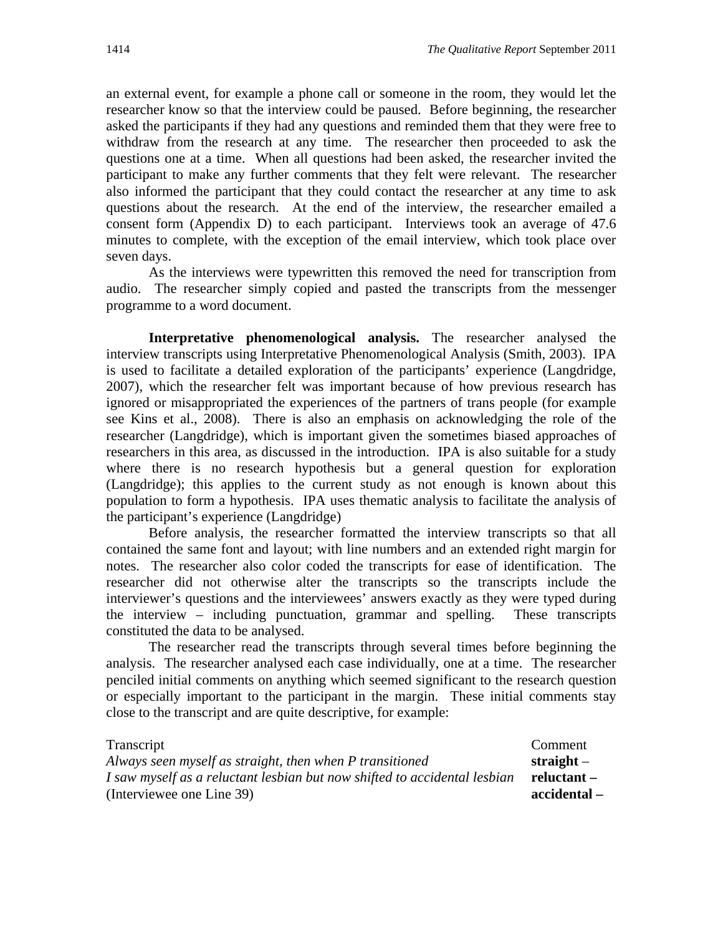an external event, for example a phone call or someone in the room, they would let the researcher know so that the interview could be paused. Before beginning, the researcher asked the participants if they had any questions and reminded them that they were free to withdraw from the research at any time. The researcher then proceeded to ask the questions one at a time. When all questions had been asked, the researcher invited the participant to make any further comments that they felt were relevant. The researcher also informed the participant that they could contact the researcher at any time to ask questions about the research. At the end of the interview, the researcher emailed a consent form (Appendix D) to each participant. Interviews took an average of 47.6 minutes to complete, with the exception of the email interview, which took place over seven days.

As the interviews were typewritten this removed the need for transcription from audio. The researcher simply copied and pasted the transcripts from the messenger programme to a word document.

**Interpretative phenomenological analysis.** The researcher analysed the interview transcripts using Interpretative Phenomenological Analysis (Smith, 2003). IPA is used to facilitate a detailed exploration of the participants' experience (Langdridge, 2007), which the researcher felt was important because of how previous research has ignored or misappropriated the experiences of the partners of trans people (for example see Kins et al., 2008). There is also an emphasis on acknowledging the role of the researcher (Langdridge), which is important given the sometimes biased approaches of researchers in this area, as discussed in the introduction. IPA is also suitable for a study where there is no research hypothesis but a general question for exploration (Langdridge); this applies to the current study as not enough is known about this population to form a hypothesis. IPA uses thematic analysis to facilitate the analysis of the participant's experience (Langdridge)

Before analysis, the researcher formatted the interview transcripts so that all contained the same font and layout; with line numbers and an extended right margin for notes. The researcher also color coded the transcripts for ease of identification. The researcher did not otherwise alter the transcripts so the transcripts include the interviewer's questions and the interviewees' answers exactly as they were typed during the interview – including punctuation, grammar and spelling. These transcripts constituted the data to be analysed.

The researcher read the transcripts through several times before beginning the analysis. The researcher analysed each case individually, one at a time. The researcher penciled initial comments on anything which seemed significant to the research question or especially important to the participant in the margin. These initial comments stay close to the transcript and are quite descriptive, for example:

| Transcript                                                                | Comment      |
|---------------------------------------------------------------------------|--------------|
| Always seen myself as straight, then when P transitioned                  | straight $-$ |
| I saw myself as a reluctant lesbian but now shifted to accidental lesbian | reluctant –  |
| (Interviewee one Line 39)                                                 | - accidental |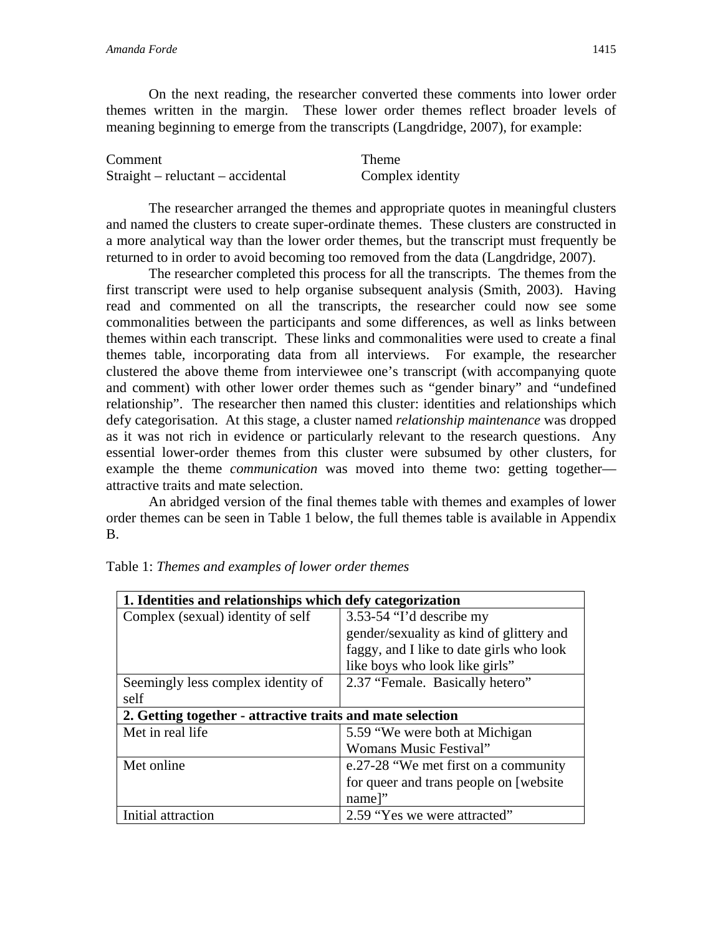On the next reading, the researcher converted these comments into lower order themes written in the margin. These lower order themes reflect broader levels of meaning beginning to emerge from the transcripts (Langdridge, 2007), for example:

| Comment                             | Theme            |
|-------------------------------------|------------------|
| $Straight$ – reluctant – accidental | Complex identity |

The researcher arranged the themes and appropriate quotes in meaningful clusters and named the clusters to create super-ordinate themes. These clusters are constructed in a more analytical way than the lower order themes, but the transcript must frequently be returned to in order to avoid becoming too removed from the data (Langdridge, 2007).

The researcher completed this process for all the transcripts. The themes from the first transcript were used to help organise subsequent analysis (Smith, 2003). Having read and commented on all the transcripts, the researcher could now see some commonalities between the participants and some differences, as well as links between themes within each transcript. These links and commonalities were used to create a final themes table, incorporating data from all interviews. For example, the researcher clustered the above theme from interviewee one's transcript (with accompanying quote and comment) with other lower order themes such as "gender binary" and "undefined relationship". The researcher then named this cluster: identities and relationships which defy categorisation. At this stage, a cluster named *relationship maintenance* was dropped as it was not rich in evidence or particularly relevant to the research questions. Any essential lower-order themes from this cluster were subsumed by other clusters, for example the theme *communication* was moved into theme two: getting together attractive traits and mate selection.

An abridged version of the final themes table with themes and examples of lower order themes can be seen in Table 1 below, the full themes table is available in Appendix B.

| 1. Identities and relationships which defy categorization  |                                          |  |
|------------------------------------------------------------|------------------------------------------|--|
| Complex (sexual) identity of self                          | 3.53-54 "I'd describe my                 |  |
|                                                            | gender/sexuality as kind of glittery and |  |
|                                                            | faggy, and I like to date girls who look |  |
|                                                            | like boys who look like girls"           |  |
| Seemingly less complex identity of                         | 2.37 "Female. Basically hetero"          |  |
| self                                                       |                                          |  |
| 2. Getting together - attractive traits and mate selection |                                          |  |
| Met in real life                                           | 5.59 "We were both at Michigan"          |  |
|                                                            | Womans Music Festival"                   |  |
| Met online                                                 | e.27-28 "We met first on a community     |  |
|                                                            | for queer and trans people on [website]  |  |
|                                                            |                                          |  |
|                                                            | name]"                                   |  |

Table 1: *Themes and examples of lower order themes*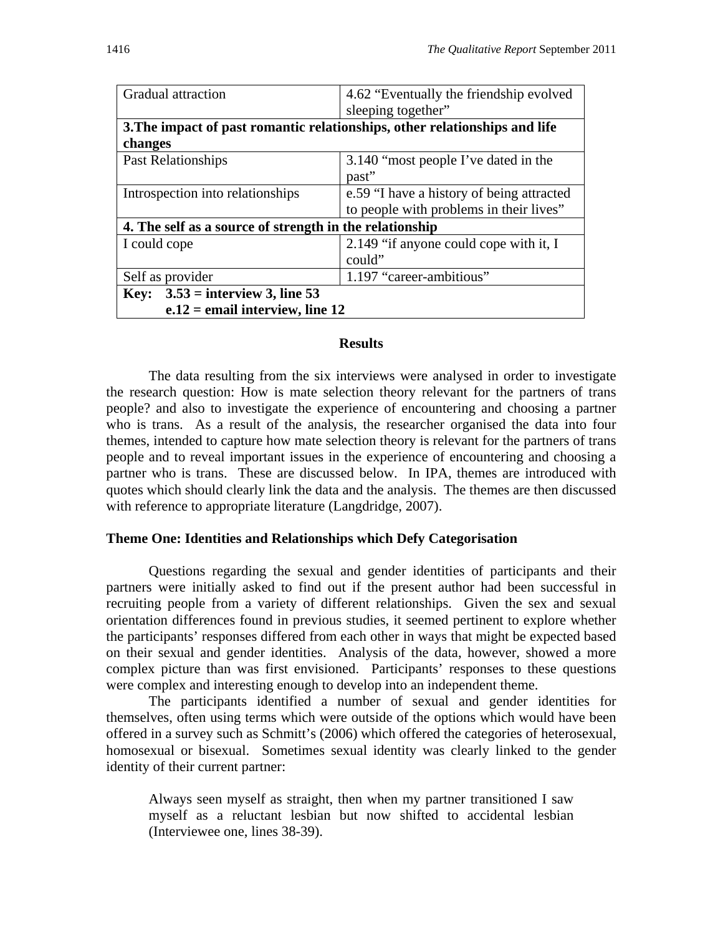| Gradual attraction                                                         | 4.62 "Eventually the friendship evolved   |  |
|----------------------------------------------------------------------------|-------------------------------------------|--|
|                                                                            | sleeping together"                        |  |
| 3. The impact of past romantic relationships, other relationships and life |                                           |  |
| changes                                                                    |                                           |  |
| Past Relationships                                                         | 3.140 "most people I've dated in the      |  |
|                                                                            | past"                                     |  |
| Introspection into relationships                                           | e.59 "I have a history of being attracted |  |
|                                                                            | to people with problems in their lives"   |  |
| 4. The self as a source of strength in the relationship                    |                                           |  |
| I could cope                                                               | 2.149 "if anyone could cope with it, I    |  |
|                                                                            | could"                                    |  |
| Self as provider                                                           | 1.197 "career-ambitious"                  |  |
| Key: $3.53$ = interview 3, line 53                                         |                                           |  |
| $e.12$ = email interview, line 12                                          |                                           |  |

## **Results**

The data resulting from the six interviews were analysed in order to investigate the research question: How is mate selection theory relevant for the partners of trans people? and also to investigate the experience of encountering and choosing a partner who is trans. As a result of the analysis, the researcher organised the data into four themes, intended to capture how mate selection theory is relevant for the partners of trans people and to reveal important issues in the experience of encountering and choosing a partner who is trans. These are discussed below. In IPA, themes are introduced with quotes which should clearly link the data and the analysis. The themes are then discussed with reference to appropriate literature (Langdridge, 2007).

## **Theme One: Identities and Relationships which Defy Categorisation**

Questions regarding the sexual and gender identities of participants and their partners were initially asked to find out if the present author had been successful in recruiting people from a variety of different relationships. Given the sex and sexual orientation differences found in previous studies, it seemed pertinent to explore whether the participants' responses differed from each other in ways that might be expected based on their sexual and gender identities. Analysis of the data, however, showed a more complex picture than was first envisioned. Participants' responses to these questions were complex and interesting enough to develop into an independent theme.

 The participants identified a number of sexual and gender identities for themselves, often using terms which were outside of the options which would have been offered in a survey such as Schmitt's (2006) which offered the categories of heterosexual, homosexual or bisexual. Sometimes sexual identity was clearly linked to the gender identity of their current partner:

Always seen myself as straight, then when my partner transitioned I saw myself as a reluctant lesbian but now shifted to accidental lesbian (Interviewee one, lines 38-39).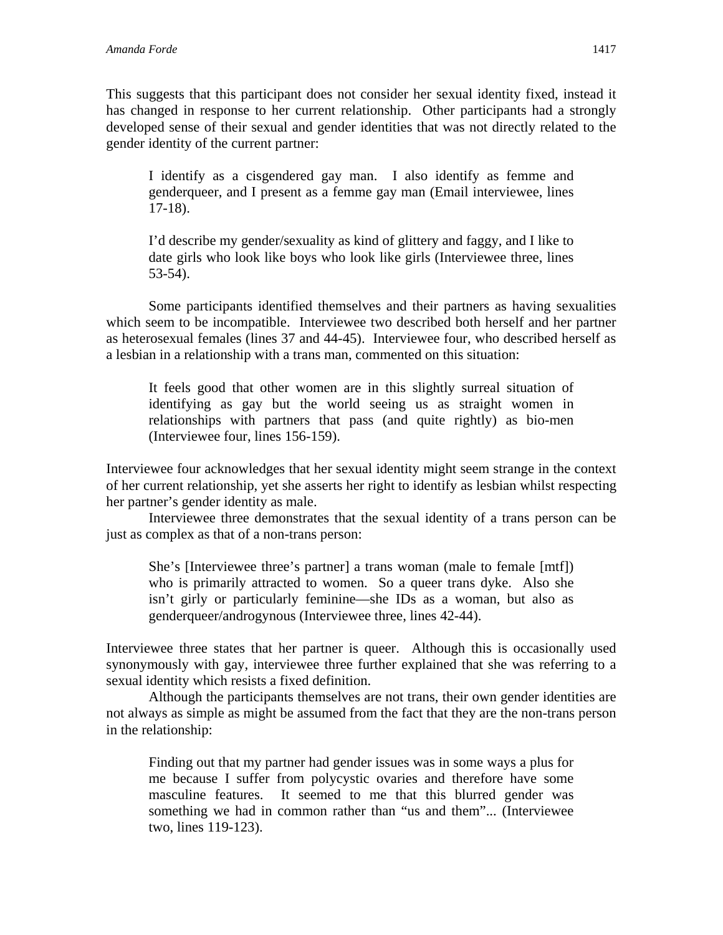This suggests that this participant does not consider her sexual identity fixed, instead it has changed in response to her current relationship. Other participants had a strongly developed sense of their sexual and gender identities that was not directly related to the gender identity of the current partner:

I identify as a cisgendered gay man. I also identify as femme and genderqueer, and I present as a femme gay man (Email interviewee, lines 17-18).

I'd describe my gender/sexuality as kind of glittery and faggy, and I like to date girls who look like boys who look like girls (Interviewee three, lines 53-54).

Some participants identified themselves and their partners as having sexualities which seem to be incompatible. Interviewee two described both herself and her partner as heterosexual females (lines 37 and 44-45). Interviewee four, who described herself as a lesbian in a relationship with a trans man, commented on this situation:

It feels good that other women are in this slightly surreal situation of identifying as gay but the world seeing us as straight women in relationships with partners that pass (and quite rightly) as bio-men (Interviewee four, lines 156-159).

Interviewee four acknowledges that her sexual identity might seem strange in the context of her current relationship, yet she asserts her right to identify as lesbian whilst respecting her partner's gender identity as male.

Interviewee three demonstrates that the sexual identity of a trans person can be just as complex as that of a non-trans person:

She's [Interviewee three's partner] a trans woman (male to female [mtf]) who is primarily attracted to women. So a queer trans dyke. Also she isn't girly or particularly feminine—she IDs as a woman, but also as genderqueer/androgynous (Interviewee three, lines 42-44).

Interviewee three states that her partner is queer. Although this is occasionally used synonymously with gay, interviewee three further explained that she was referring to a sexual identity which resists a fixed definition.

Although the participants themselves are not trans, their own gender identities are not always as simple as might be assumed from the fact that they are the non-trans person in the relationship:

Finding out that my partner had gender issues was in some ways a plus for me because I suffer from polycystic ovaries and therefore have some masculine features. It seemed to me that this blurred gender was something we had in common rather than "us and them"... (Interviewee two, lines 119-123).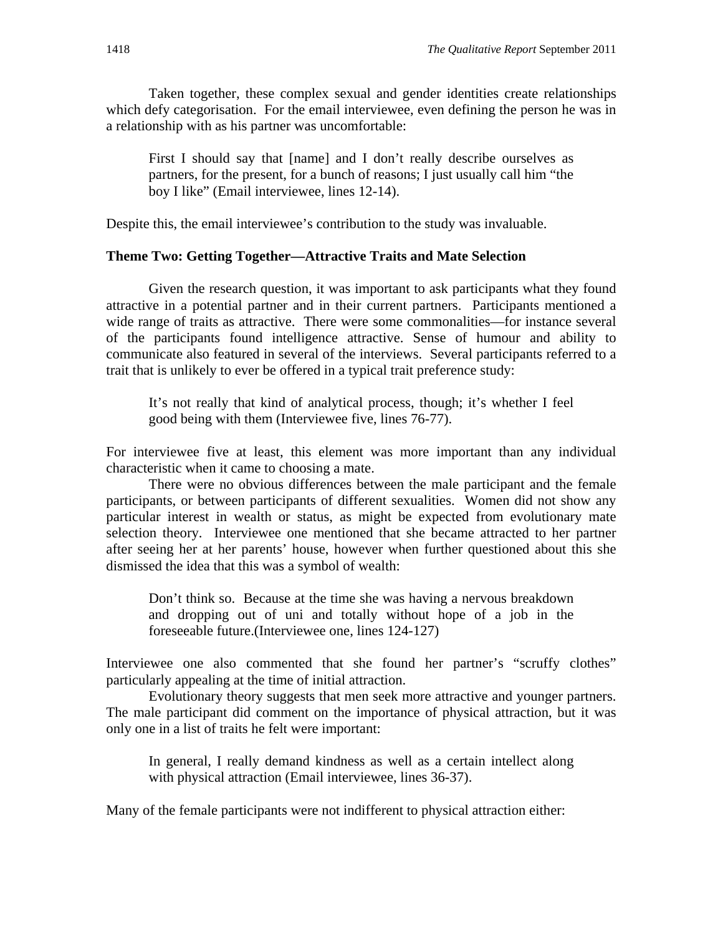Taken together, these complex sexual and gender identities create relationships which defy categorisation. For the email interviewee, even defining the person he was in a relationship with as his partner was uncomfortable:

First I should say that [name] and I don't really describe ourselves as partners, for the present, for a bunch of reasons; I just usually call him "the boy I like" (Email interviewee, lines 12-14).

Despite this, the email interviewee's contribution to the study was invaluable.

## **Theme Two: Getting Together—Attractive Traits and Mate Selection**

Given the research question, it was important to ask participants what they found attractive in a potential partner and in their current partners. Participants mentioned a wide range of traits as attractive. There were some commonalities—for instance several of the participants found intelligence attractive. Sense of humour and ability to communicate also featured in several of the interviews. Several participants referred to a trait that is unlikely to ever be offered in a typical trait preference study:

It's not really that kind of analytical process, though; it's whether I feel good being with them (Interviewee five, lines 76-77).

For interviewee five at least, this element was more important than any individual characteristic when it came to choosing a mate.

There were no obvious differences between the male participant and the female participants, or between participants of different sexualities. Women did not show any particular interest in wealth or status, as might be expected from evolutionary mate selection theory. Interviewee one mentioned that she became attracted to her partner after seeing her at her parents' house, however when further questioned about this she dismissed the idea that this was a symbol of wealth:

Don't think so. Because at the time she was having a nervous breakdown and dropping out of uni and totally without hope of a job in the foreseeable future.(Interviewee one, lines 124-127)

Interviewee one also commented that she found her partner's "scruffy clothes" particularly appealing at the time of initial attraction.

Evolutionary theory suggests that men seek more attractive and younger partners. The male participant did comment on the importance of physical attraction, but it was only one in a list of traits he felt were important:

In general, I really demand kindness as well as a certain intellect along with physical attraction (Email interviewee, lines 36-37).

Many of the female participants were not indifferent to physical attraction either: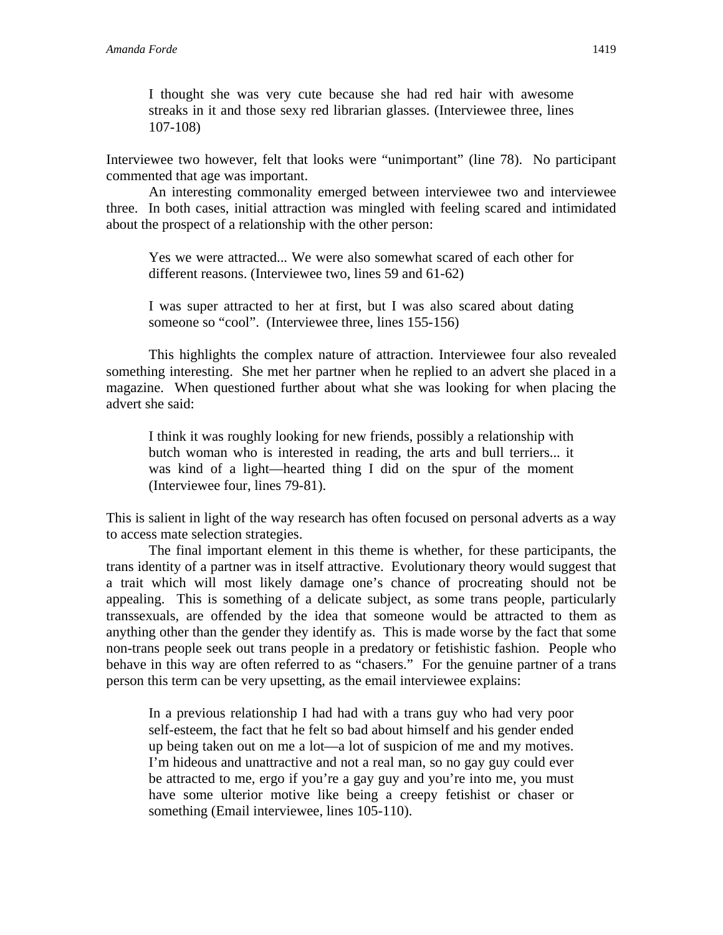I thought she was very cute because she had red hair with awesome streaks in it and those sexy red librarian glasses. (Interviewee three, lines 107-108)

Interviewee two however, felt that looks were "unimportant" (line 78). No participant commented that age was important.

An interesting commonality emerged between interviewee two and interviewee three. In both cases, initial attraction was mingled with feeling scared and intimidated about the prospect of a relationship with the other person:

Yes we were attracted... We were also somewhat scared of each other for different reasons. (Interviewee two, lines 59 and 61-62)

I was super attracted to her at first, but I was also scared about dating someone so "cool". (Interviewee three, lines 155-156)

This highlights the complex nature of attraction. Interviewee four also revealed something interesting. She met her partner when he replied to an advert she placed in a magazine. When questioned further about what she was looking for when placing the advert she said:

I think it was roughly looking for new friends, possibly a relationship with butch woman who is interested in reading, the arts and bull terriers... it was kind of a light—hearted thing I did on the spur of the moment (Interviewee four, lines 79-81).

This is salient in light of the way research has often focused on personal adverts as a way to access mate selection strategies.

 The final important element in this theme is whether, for these participants, the trans identity of a partner was in itself attractive. Evolutionary theory would suggest that a trait which will most likely damage one's chance of procreating should not be appealing. This is something of a delicate subject, as some trans people, particularly transsexuals, are offended by the idea that someone would be attracted to them as anything other than the gender they identify as. This is made worse by the fact that some non-trans people seek out trans people in a predatory or fetishistic fashion. People who behave in this way are often referred to as "chasers." For the genuine partner of a trans person this term can be very upsetting, as the email interviewee explains:

In a previous relationship I had had with a trans guy who had very poor self-esteem, the fact that he felt so bad about himself and his gender ended up being taken out on me a lot—a lot of suspicion of me and my motives. I'm hideous and unattractive and not a real man, so no gay guy could ever be attracted to me, ergo if you're a gay guy and you're into me, you must have some ulterior motive like being a creepy fetishist or chaser or something (Email interviewee, lines 105-110).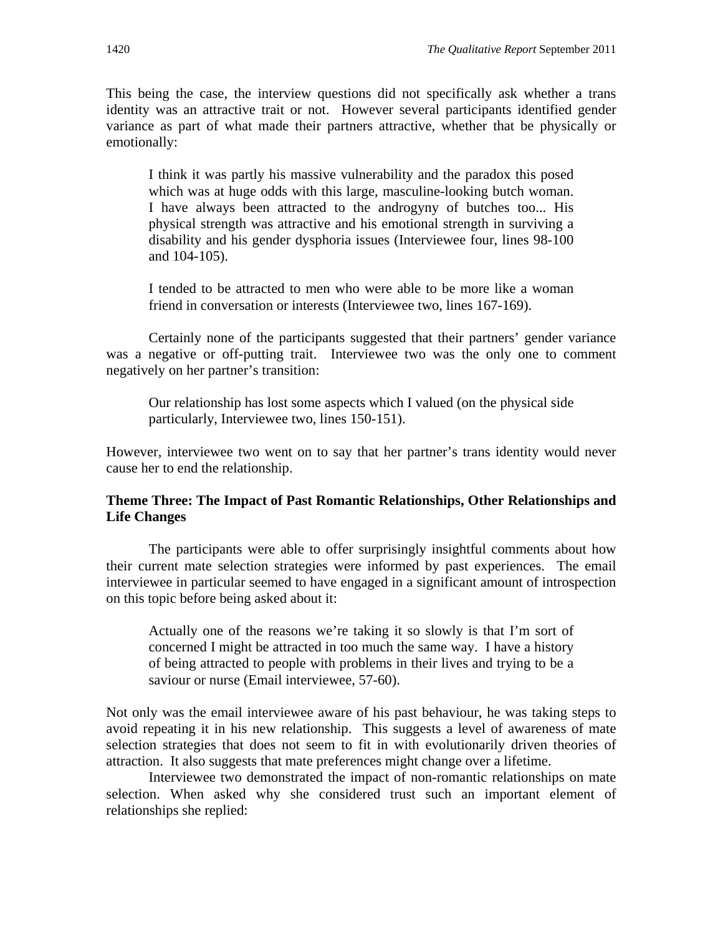This being the case, the interview questions did not specifically ask whether a trans identity was an attractive trait or not. However several participants identified gender variance as part of what made their partners attractive, whether that be physically or emotionally:

I think it was partly his massive vulnerability and the paradox this posed which was at huge odds with this large, masculine-looking butch woman. I have always been attracted to the androgyny of butches too... His physical strength was attractive and his emotional strength in surviving a disability and his gender dysphoria issues (Interviewee four, lines 98-100 and 104-105).

I tended to be attracted to men who were able to be more like a woman friend in conversation or interests (Interviewee two, lines 167-169).

Certainly none of the participants suggested that their partners' gender variance was a negative or off-putting trait. Interviewee two was the only one to comment negatively on her partner's transition:

Our relationship has lost some aspects which I valued (on the physical side particularly, Interviewee two, lines 150-151).

However, interviewee two went on to say that her partner's trans identity would never cause her to end the relationship.

## **Theme Three: The Impact of Past Romantic Relationships, Other Relationships and Life Changes**

The participants were able to offer surprisingly insightful comments about how their current mate selection strategies were informed by past experiences. The email interviewee in particular seemed to have engaged in a significant amount of introspection on this topic before being asked about it:

Actually one of the reasons we're taking it so slowly is that I'm sort of concerned I might be attracted in too much the same way. I have a history of being attracted to people with problems in their lives and trying to be a saviour or nurse (Email interviewee, 57-60).

Not only was the email interviewee aware of his past behaviour, he was taking steps to avoid repeating it in his new relationship. This suggests a level of awareness of mate selection strategies that does not seem to fit in with evolutionarily driven theories of attraction. It also suggests that mate preferences might change over a lifetime.

Interviewee two demonstrated the impact of non-romantic relationships on mate selection. When asked why she considered trust such an important element of relationships she replied: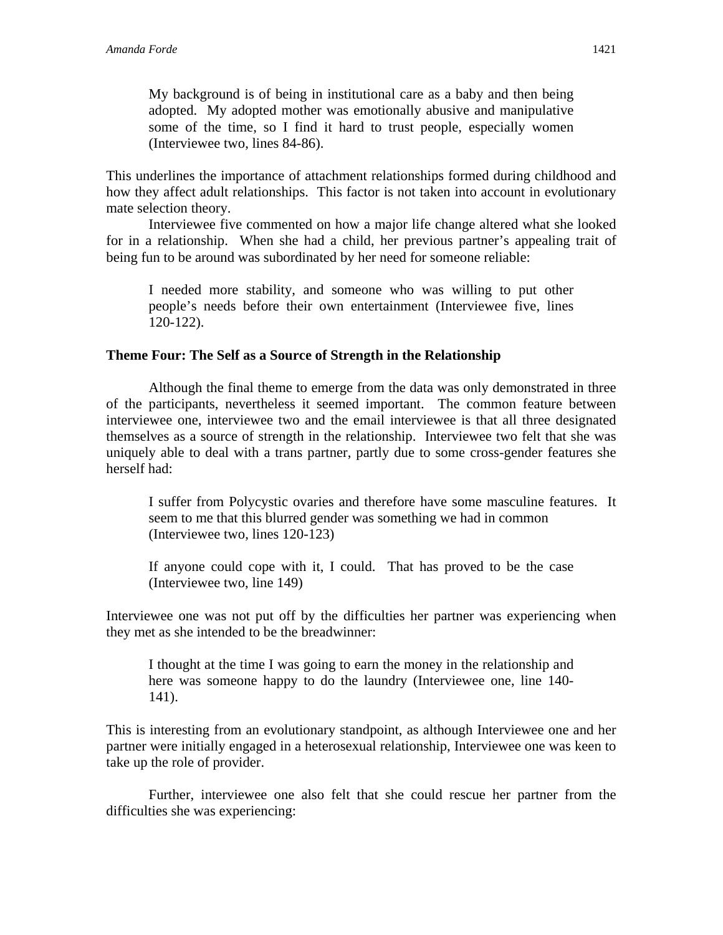My background is of being in institutional care as a baby and then being adopted. My adopted mother was emotionally abusive and manipulative some of the time, so I find it hard to trust people, especially women (Interviewee two, lines 84-86).

This underlines the importance of attachment relationships formed during childhood and how they affect adult relationships. This factor is not taken into account in evolutionary mate selection theory.

Interviewee five commented on how a major life change altered what she looked for in a relationship. When she had a child, her previous partner's appealing trait of being fun to be around was subordinated by her need for someone reliable:

I needed more stability, and someone who was willing to put other people's needs before their own entertainment (Interviewee five, lines 120-122).

## **Theme Four: The Self as a Source of Strength in the Relationship**

Although the final theme to emerge from the data was only demonstrated in three of the participants, nevertheless it seemed important. The common feature between interviewee one, interviewee two and the email interviewee is that all three designated themselves as a source of strength in the relationship. Interviewee two felt that she was uniquely able to deal with a trans partner, partly due to some cross-gender features she herself had:

I suffer from Polycystic ovaries and therefore have some masculine features. It seem to me that this blurred gender was something we had in common (Interviewee two, lines 120-123)

 If anyone could cope with it, I could. That has proved to be the case (Interviewee two, line 149)

Interviewee one was not put off by the difficulties her partner was experiencing when they met as she intended to be the breadwinner:

I thought at the time I was going to earn the money in the relationship and here was someone happy to do the laundry (Interviewee one, line 140- 141).

This is interesting from an evolutionary standpoint, as although Interviewee one and her partner were initially engaged in a heterosexual relationship, Interviewee one was keen to take up the role of provider.

Further, interviewee one also felt that she could rescue her partner from the difficulties she was experiencing: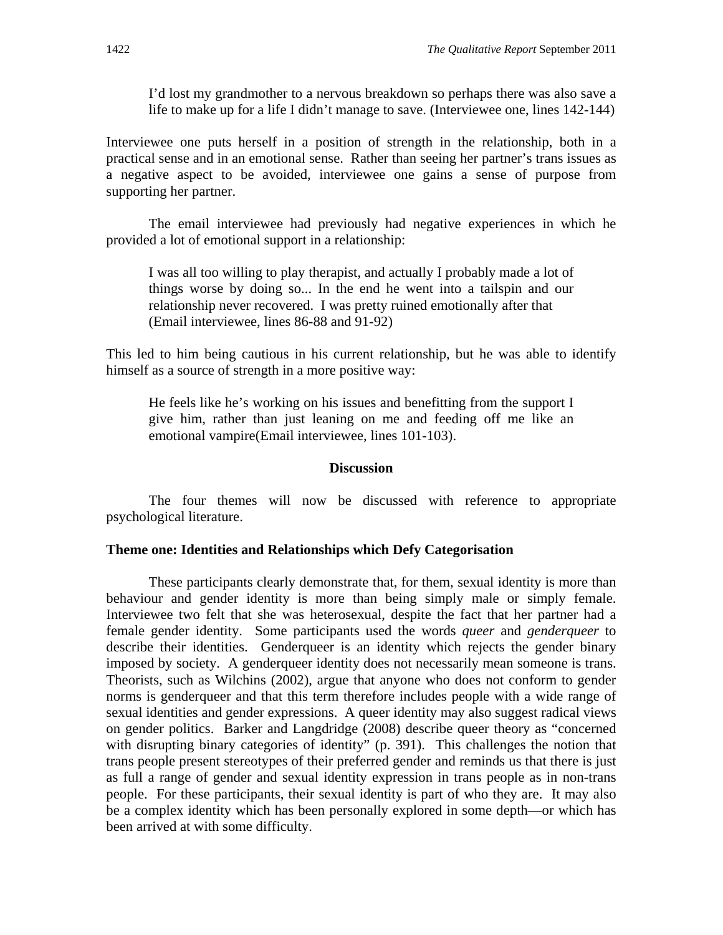I'd lost my grandmother to a nervous breakdown so perhaps there was also save a life to make up for a life I didn't manage to save. (Interviewee one, lines 142-144)

Interviewee one puts herself in a position of strength in the relationship, both in a practical sense and in an emotional sense. Rather than seeing her partner's trans issues as a negative aspect to be avoided, interviewee one gains a sense of purpose from supporting her partner.

The email interviewee had previously had negative experiences in which he provided a lot of emotional support in a relationship:

I was all too willing to play therapist, and actually I probably made a lot of things worse by doing so... In the end he went into a tailspin and our relationship never recovered. I was pretty ruined emotionally after that (Email interviewee, lines 86-88 and 91-92)

This led to him being cautious in his current relationship, but he was able to identify himself as a source of strength in a more positive way:

He feels like he's working on his issues and benefitting from the support I give him, rather than just leaning on me and feeding off me like an emotional vampire(Email interviewee, lines 101-103).

### **Discussion**

The four themes will now be discussed with reference to appropriate psychological literature.

## **Theme one: Identities and Relationships which Defy Categorisation**

These participants clearly demonstrate that, for them, sexual identity is more than behaviour and gender identity is more than being simply male or simply female. Interviewee two felt that she was heterosexual, despite the fact that her partner had a female gender identity. Some participants used the words *queer* and *genderqueer* to describe their identities. Genderqueer is an identity which rejects the gender binary imposed by society. A genderqueer identity does not necessarily mean someone is trans. Theorists, such as Wilchins (2002), argue that anyone who does not conform to gender norms is genderqueer and that this term therefore includes people with a wide range of sexual identities and gender expressions. A queer identity may also suggest radical views on gender politics. Barker and Langdridge (2008) describe queer theory as "concerned with disrupting binary categories of identity" (p. 391). This challenges the notion that trans people present stereotypes of their preferred gender and reminds us that there is just as full a range of gender and sexual identity expression in trans people as in non-trans people. For these participants, their sexual identity is part of who they are. It may also be a complex identity which has been personally explored in some depth—or which has been arrived at with some difficulty.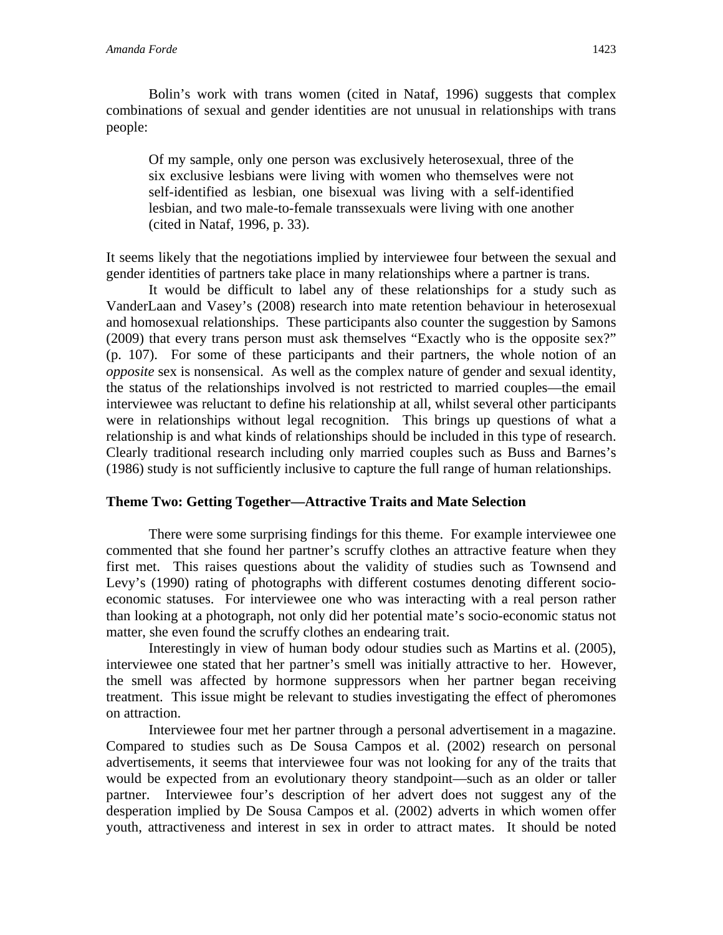Bolin's work with trans women (cited in Nataf, 1996) suggests that complex combinations of sexual and gender identities are not unusual in relationships with trans people:

Of my sample, only one person was exclusively heterosexual, three of the six exclusive lesbians were living with women who themselves were not self-identified as lesbian, one bisexual was living with a self-identified lesbian, and two male-to-female transsexuals were living with one another (cited in Nataf, 1996, p. 33).

It seems likely that the negotiations implied by interviewee four between the sexual and gender identities of partners take place in many relationships where a partner is trans.

It would be difficult to label any of these relationships for a study such as VanderLaan and Vasey's (2008) research into mate retention behaviour in heterosexual and homosexual relationships. These participants also counter the suggestion by Samons (2009) that every trans person must ask themselves "Exactly who is the opposite sex?" (p. 107). For some of these participants and their partners, the whole notion of an *opposite* sex is nonsensical. As well as the complex nature of gender and sexual identity, the status of the relationships involved is not restricted to married couples—the email interviewee was reluctant to define his relationship at all, whilst several other participants were in relationships without legal recognition. This brings up questions of what a relationship is and what kinds of relationships should be included in this type of research. Clearly traditional research including only married couples such as Buss and Barnes's (1986) study is not sufficiently inclusive to capture the full range of human relationships.

# **Theme Two: Getting Together—Attractive Traits and Mate Selection**

There were some surprising findings for this theme. For example interviewee one commented that she found her partner's scruffy clothes an attractive feature when they first met. This raises questions about the validity of studies such as Townsend and Levy's (1990) rating of photographs with different costumes denoting different socioeconomic statuses. For interviewee one who was interacting with a real person rather than looking at a photograph, not only did her potential mate's socio-economic status not matter, she even found the scruffy clothes an endearing trait.

Interestingly in view of human body odour studies such as Martins et al. (2005), interviewee one stated that her partner's smell was initially attractive to her. However, the smell was affected by hormone suppressors when her partner began receiving treatment. This issue might be relevant to studies investigating the effect of pheromones on attraction.

Interviewee four met her partner through a personal advertisement in a magazine. Compared to studies such as De Sousa Campos et al. (2002) research on personal advertisements, it seems that interviewee four was not looking for any of the traits that would be expected from an evolutionary theory standpoint—such as an older or taller partner. Interviewee four's description of her advert does not suggest any of the desperation implied by De Sousa Campos et al. (2002) adverts in which women offer youth, attractiveness and interest in sex in order to attract mates. It should be noted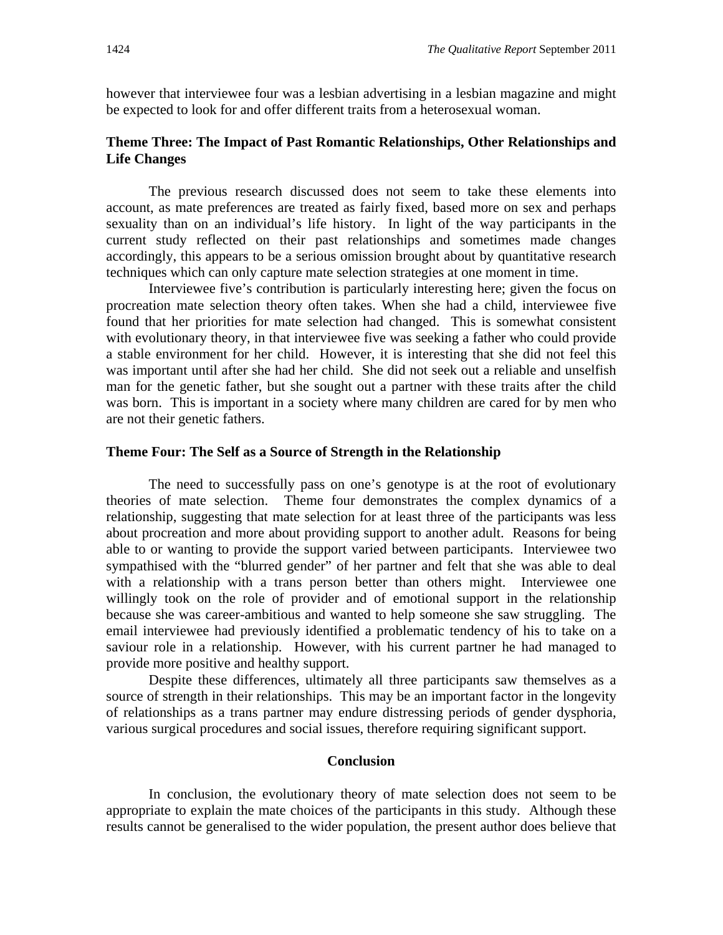however that interviewee four was a lesbian advertising in a lesbian magazine and might be expected to look for and offer different traits from a heterosexual woman.

## **Theme Three: The Impact of Past Romantic Relationships, Other Relationships and Life Changes**

The previous research discussed does not seem to take these elements into account, as mate preferences are treated as fairly fixed, based more on sex and perhaps sexuality than on an individual's life history. In light of the way participants in the current study reflected on their past relationships and sometimes made changes accordingly, this appears to be a serious omission brought about by quantitative research techniques which can only capture mate selection strategies at one moment in time.

Interviewee five's contribution is particularly interesting here; given the focus on procreation mate selection theory often takes. When she had a child, interviewee five found that her priorities for mate selection had changed. This is somewhat consistent with evolutionary theory, in that interviewee five was seeking a father who could provide a stable environment for her child. However, it is interesting that she did not feel this was important until after she had her child. She did not seek out a reliable and unselfish man for the genetic father, but she sought out a partner with these traits after the child was born. This is important in a society where many children are cared for by men who are not their genetic fathers.

### **Theme Four: The Self as a Source of Strength in the Relationship**

The need to successfully pass on one's genotype is at the root of evolutionary theories of mate selection. Theme four demonstrates the complex dynamics of a relationship, suggesting that mate selection for at least three of the participants was less about procreation and more about providing support to another adult. Reasons for being able to or wanting to provide the support varied between participants. Interviewee two sympathised with the "blurred gender" of her partner and felt that she was able to deal with a relationship with a trans person better than others might. Interviewee one willingly took on the role of provider and of emotional support in the relationship because she was career-ambitious and wanted to help someone she saw struggling. The email interviewee had previously identified a problematic tendency of his to take on a saviour role in a relationship. However, with his current partner he had managed to provide more positive and healthy support.

Despite these differences, ultimately all three participants saw themselves as a source of strength in their relationships. This may be an important factor in the longevity of relationships as a trans partner may endure distressing periods of gender dysphoria, various surgical procedures and social issues, therefore requiring significant support.

### **Conclusion**

In conclusion, the evolutionary theory of mate selection does not seem to be appropriate to explain the mate choices of the participants in this study. Although these results cannot be generalised to the wider population, the present author does believe that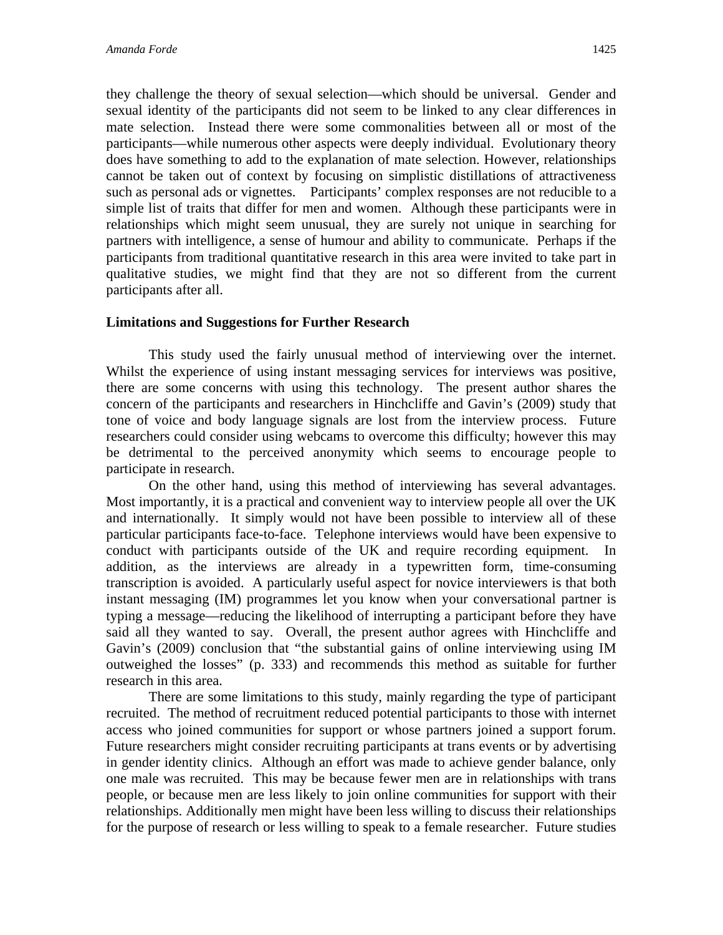they challenge the theory of sexual selection—which should be universal. Gender and sexual identity of the participants did not seem to be linked to any clear differences in mate selection. Instead there were some commonalities between all or most of the participants—while numerous other aspects were deeply individual. Evolutionary theory does have something to add to the explanation of mate selection. However, relationships cannot be taken out of context by focusing on simplistic distillations of attractiveness such as personal ads or vignettes. Participants' complex responses are not reducible to a simple list of traits that differ for men and women. Although these participants were in relationships which might seem unusual, they are surely not unique in searching for partners with intelligence, a sense of humour and ability to communicate. Perhaps if the participants from traditional quantitative research in this area were invited to take part in qualitative studies, we might find that they are not so different from the current participants after all.

## **Limitations and Suggestions for Further Research**

 This study used the fairly unusual method of interviewing over the internet. Whilst the experience of using instant messaging services for interviews was positive, there are some concerns with using this technology. The present author shares the concern of the participants and researchers in Hinchcliffe and Gavin's (2009) study that tone of voice and body language signals are lost from the interview process. Future researchers could consider using webcams to overcome this difficulty; however this may be detrimental to the perceived anonymity which seems to encourage people to participate in research.

On the other hand, using this method of interviewing has several advantages. Most importantly, it is a practical and convenient way to interview people all over the UK and internationally. It simply would not have been possible to interview all of these particular participants face-to-face. Telephone interviews would have been expensive to conduct with participants outside of the UK and require recording equipment. In addition, as the interviews are already in a typewritten form, time-consuming transcription is avoided. A particularly useful aspect for novice interviewers is that both instant messaging (IM) programmes let you know when your conversational partner is typing a message—reducing the likelihood of interrupting a participant before they have said all they wanted to say. Overall, the present author agrees with Hinchcliffe and Gavin's (2009) conclusion that "the substantial gains of online interviewing using IM outweighed the losses" (p. 333) and recommends this method as suitable for further research in this area.

There are some limitations to this study, mainly regarding the type of participant recruited. The method of recruitment reduced potential participants to those with internet access who joined communities for support or whose partners joined a support forum. Future researchers might consider recruiting participants at trans events or by advertising in gender identity clinics. Although an effort was made to achieve gender balance, only one male was recruited. This may be because fewer men are in relationships with trans people, or because men are less likely to join online communities for support with their relationships. Additionally men might have been less willing to discuss their relationships for the purpose of research or less willing to speak to a female researcher. Future studies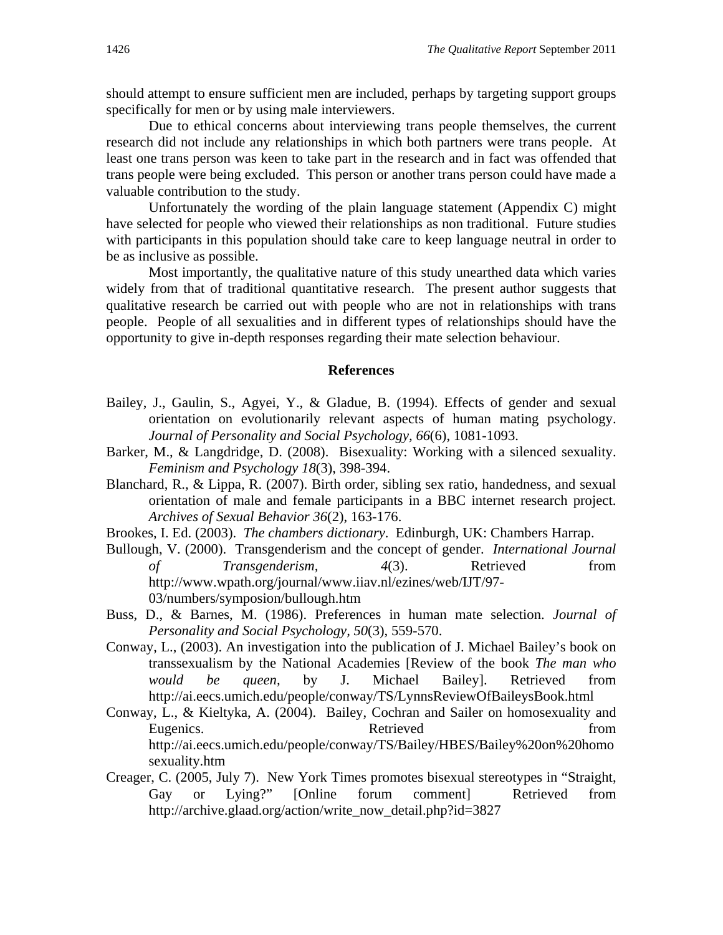should attempt to ensure sufficient men are included, perhaps by targeting support groups specifically for men or by using male interviewers.

Due to ethical concerns about interviewing trans people themselves, the current research did not include any relationships in which both partners were trans people. At least one trans person was keen to take part in the research and in fact was offended that trans people were being excluded. This person or another trans person could have made a valuable contribution to the study.

Unfortunately the wording of the plain language statement (Appendix C) might have selected for people who viewed their relationships as non traditional. Future studies with participants in this population should take care to keep language neutral in order to be as inclusive as possible.

Most importantly, the qualitative nature of this study unearthed data which varies widely from that of traditional quantitative research. The present author suggests that qualitative research be carried out with people who are not in relationships with trans people. People of all sexualities and in different types of relationships should have the opportunity to give in-depth responses regarding their mate selection behaviour.

### **References**

- Bailey, J., Gaulin, S., Agyei, Y., & Gladue, B. (1994). Effects of gender and sexual orientation on evolutionarily relevant aspects of human mating psychology. *Journal of Personality and Social Psychology, 66*(6), 1081-1093.
- Barker, M., & Langdridge, D. (2008). Bisexuality: Working with a silenced sexuality. *Feminism and Psychology 18*(3), 398-394.
- Blanchard, R., & Lippa, R. (2007). Birth order, sibling sex ratio, handedness, and sexual orientation of male and female participants in a BBC internet research project. *Archives of Sexual Behavior 36*(2), 163-176.
- Brookes, I. Ed. (2003). *The chambers dictionary*. Edinburgh, UK: Chambers Harrap.
- Bullough, V. (2000). Transgenderism and the concept of gender. *International Journal of Transgenderism, 4*(3). Retrieved from http://www.wpath.org/journal/www.iiav.nl/ezines/web/IJT/97- 03/numbers/symposion/bullough.htm
- Buss, D., & Barnes, M. (1986). Preferences in human mate selection. *Journal of Personality and Social Psychology, 50*(3), 559-570.
- Conway, L., (2003). An investigation into the publication of J. Michael Bailey's book on transsexualism by the National Academies [Review of the book *The man who would be queen,* by J. Michael Bailey]. Retrieved from http://ai.eecs.umich.edu/people/conway/TS/LynnsReviewOfBaileysBook.html
- Conway, L., & Kieltyka, A. (2004). Bailey, Cochran and Sailer on homosexuality and Eugenics. Retrieved from Retrieved from  $\sim$ http://ai.eecs.umich.edu/people/conway/TS/Bailey/HBES/Bailey%20on%20homo sexuality.htm
- Creager, C. (2005, July 7). New York Times promotes bisexual stereotypes in "Straight, Gay or Lying?" [Online forum comment] Retrieved from http://archive.glaad.org/action/write\_now\_detail.php?id=3827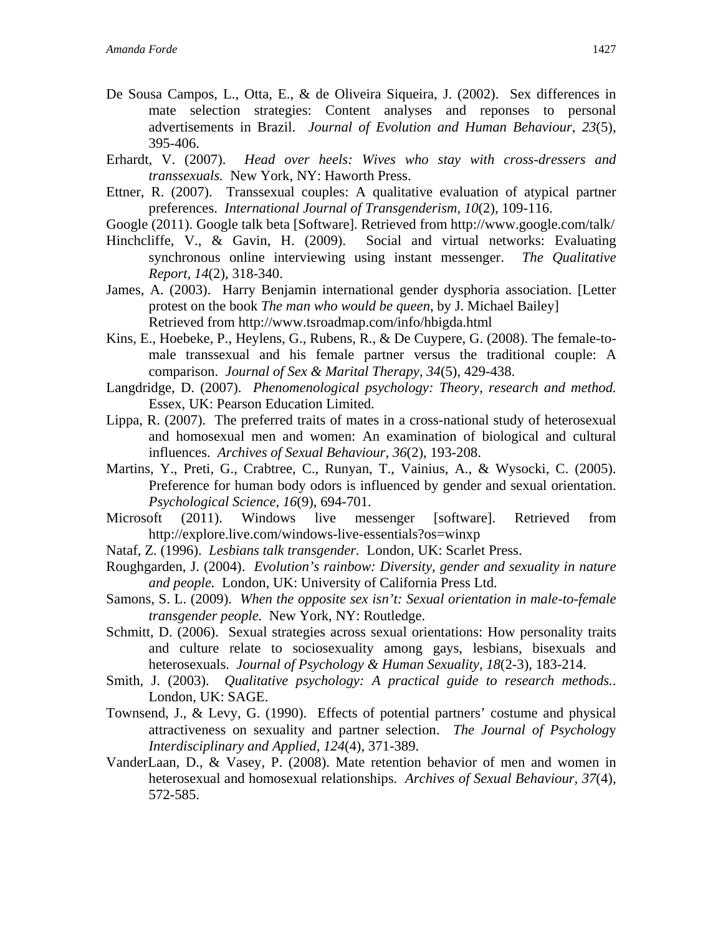- De Sousa Campos, L., Otta, E., & de Oliveira Siqueira, J. (2002). Sex differences in mate selection strategies: Content analyses and reponses to personal advertisements in Brazil. *Journal of Evolution and Human Behaviour*, *23*(5), 395-406.
- Erhardt, V. (2007). *Head over heels: Wives who stay with cross-dressers and transsexuals.* New York, NY: Haworth Press.
- Ettner, R. (2007). Transsexual couples: A qualitative evaluation of atypical partner preferences. *International Journal of Transgenderism, 10*(2)*,* 109-116.
- Google (2011). Google talk beta [Software]. Retrieved from http://www.google.com/talk/
- Hinchcliffe, V., & Gavin, H. (2009). Social and virtual networks: Evaluating synchronous online interviewing using instant messenger. *The Qualitative Report, 14*(2), 318-340.
- James, A. (2003). Harry Benjamin international gender dysphoria association. [Letter protest on the book *The man who would be queen*, by J. Michael Bailey] Retrieved from http://www.tsroadmap.com/info/hbigda.html
- Kins, E., Hoebeke, P., Heylens, G., Rubens, R., & De Cuypere, G. (2008). The female-tomale transsexual and his female partner versus the traditional couple: A comparison. *Journal of Sex & Marital Therapy, 34*(5), 429-438.
- Langdridge, D. (2007). *Phenomenological psychology: Theory, research and method.* Essex, UK: Pearson Education Limited.
- Lippa, R. (2007). The preferred traits of mates in a cross-national study of heterosexual and homosexual men and women: An examination of biological and cultural influences. *Archives of Sexual Behaviour, 36*(2), 193-208.
- Martins, Y., Preti, G., Crabtree, C., Runyan, T., Vainius, A., & Wysocki, C. (2005). Preference for human body odors is influenced by gender and sexual orientation. *Psychological Science, 16*(9), 694-701.
- Microsoft (2011). Windows live messenger [software]. Retrieved from http://explore.live.com/windows-live-essentials?os=winxp
- Nataf, Z. (1996). *Lesbians talk transgender.* London, UK: Scarlet Press.
- Roughgarden, J. (2004). *Evolution's rainbow: Diversity, gender and sexuality in nature and people.* London, UK: University of California Press Ltd.
- Samons, S. L. (2009). *When the opposite sex isn't: Sexual orientation in male-to-female transgender people.* New York, NY: Routledge.
- Schmitt, D. (2006). Sexual strategies across sexual orientations: How personality traits and culture relate to sociosexuality among gays, lesbians, bisexuals and heterosexuals. *Journal of Psychology & Human Sexuality, 18*(2-3), 183-214.
- Smith, J. (2003). *Qualitative psychology: A practical guide to research methods.*. London, UK: SAGE.
- Townsend, J., & Levy, G. (1990). Effects of potential partners' costume and physical attractiveness on sexuality and partner selection. *The Journal of Psycholog*y *Interdisciplinary and Applied, 124*(4)*,* 371-389.
- VanderLaan, D., & Vasey, P. (2008). Mate retention behavior of men and women in heterosexual and homosexual relationships. *Archives of Sexual Behaviour, 37*(4), 572-585.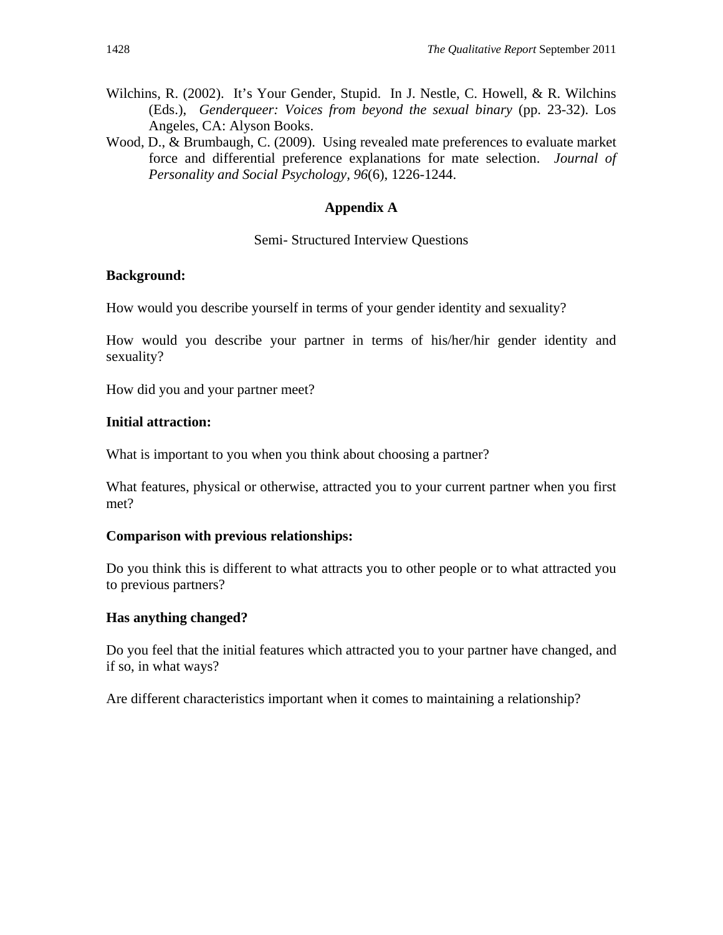- Wilchins, R. (2002). It's Your Gender, Stupid. In J. Nestle, C. Howell, & R. Wilchins (Eds.), *Genderqueer: Voices from beyond the sexual binary* (pp. 23-32). Los Angeles, CA: Alyson Books.
- Wood, D., & Brumbaugh, C. (2009). Using revealed mate preferences to evaluate market force and differential preference explanations for mate selection. *Journal of Personality and Social Psychology, 96*(6), 1226-1244.

# **Appendix A**

# Semi- Structured Interview Questions

# **Background:**

How would you describe yourself in terms of your gender identity and sexuality?

How would you describe your partner in terms of his/her/hir gender identity and sexuality?

How did you and your partner meet?

# **Initial attraction:**

What is important to you when you think about choosing a partner?

What features, physical or otherwise, attracted you to your current partner when you first met?

# **Comparison with previous relationships:**

Do you think this is different to what attracts you to other people or to what attracted you to previous partners?

# **Has anything changed?**

Do you feel that the initial features which attracted you to your partner have changed, and if so, in what ways?

Are different characteristics important when it comes to maintaining a relationship?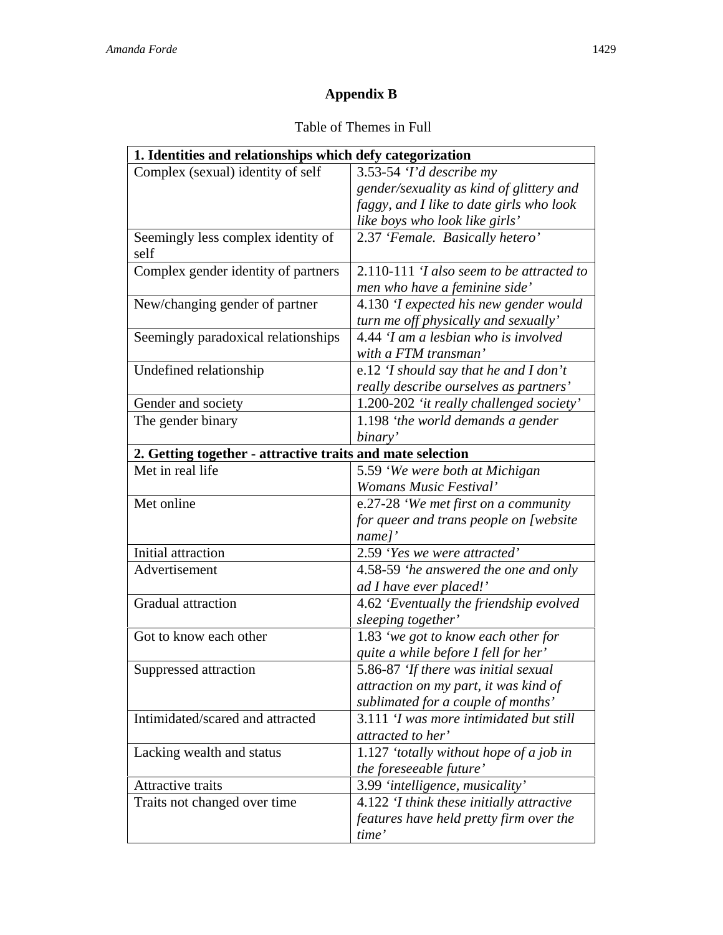# **Appendix B**

# Table of Themes in Full

| 1. Identities and relationships which defy categorization  |                                                   |  |
|------------------------------------------------------------|---------------------------------------------------|--|
| Complex (sexual) identity of self                          | $3.53-54$ 'I'd describe my                        |  |
|                                                            | gender/sexuality as kind of glittery and          |  |
|                                                            | faggy, and I like to date girls who look          |  |
|                                                            | like boys who look like girls'                    |  |
| Seemingly less complex identity of<br>self                 | 2.37 'Female. Basically hetero'                   |  |
|                                                            | $2.110-111$ <i>T</i> also seem to be attracted to |  |
| Complex gender identity of partners                        | men who have a feminine side'                     |  |
| New/changing gender of partner                             | 4.130 'I expected his new gender would            |  |
|                                                            | turn me off physically and sexually'              |  |
| Seemingly paradoxical relationships                        | 4.44 'I am a lesbian who is involved              |  |
|                                                            | with a FTM transman'                              |  |
| Undefined relationship                                     | e.12 'I should say that he and I don't            |  |
|                                                            | really describe ourselves as partners'            |  |
| Gender and society                                         | 1.200-202 'it really challenged society'          |  |
| The gender binary                                          | 1.198 'the world demands a gender                 |  |
|                                                            | binary'                                           |  |
| 2. Getting together - attractive traits and mate selection |                                                   |  |
| Met in real life                                           | 5.59 'We were both at Michigan                    |  |
|                                                            | Womans Music Festival'                            |  |
| Met online                                                 | e.27-28 'We met first on a community              |  |
|                                                            | for queer and trans people on [website            |  |
|                                                            | name]'                                            |  |
| Initial attraction                                         | 2.59 'Yes we were attracted'                      |  |
| Advertisement                                              | 4.58-59 'he answered the one and only             |  |
|                                                            | ad I have ever placed!'                           |  |
| Gradual attraction                                         | 4.62 'Eventually the friendship evolved           |  |
|                                                            | sleeping together'                                |  |
| Got to know each other                                     | 1.83 'we got to know each other for               |  |
|                                                            | quite a while before I fell for her'              |  |
| Suppressed attraction                                      | 5.86-87 'If there was initial sexual              |  |
|                                                            | attraction on my part, it was kind of             |  |
|                                                            | sublimated for a couple of months'                |  |
| Intimidated/scared and attracted                           | 3.111 'I was more intimidated but still           |  |
|                                                            | attracted to her'                                 |  |
| Lacking wealth and status                                  | 1.127 'totally without hope of a job in           |  |
|                                                            | the foreseeable future'                           |  |
| Attractive traits                                          | 3.99 'intelligence, musicality'                   |  |
| Traits not changed over time                               | 4.122 'I think these initially attractive         |  |
|                                                            | features have held pretty firm over the           |  |
|                                                            | time'                                             |  |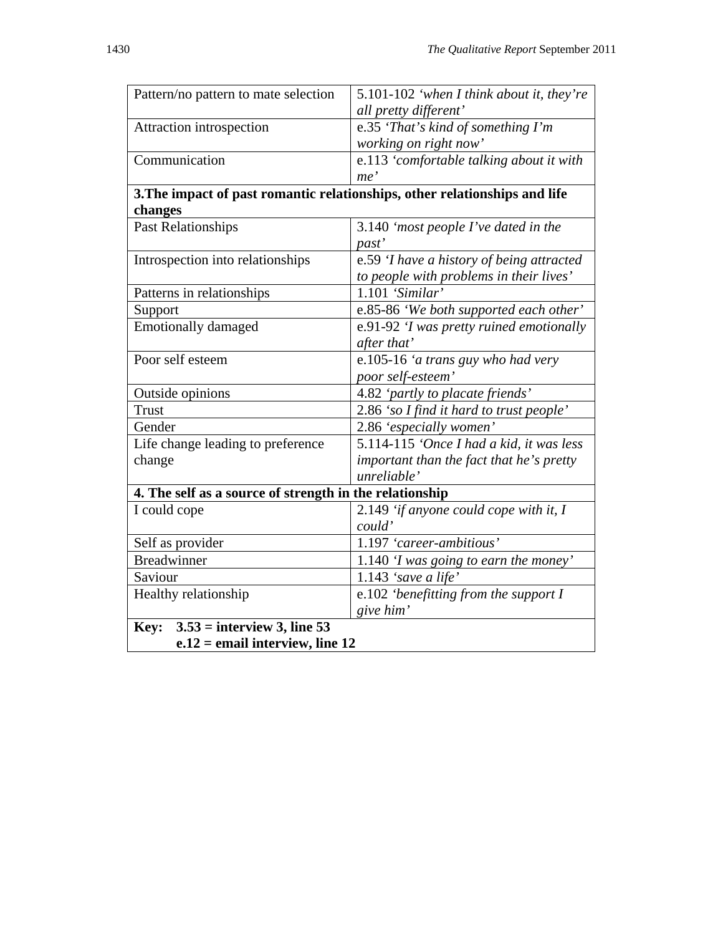| Pattern/no pattern to mate selection                    | 5.101-102 'when I think about it, they're                                  |  |
|---------------------------------------------------------|----------------------------------------------------------------------------|--|
|                                                         | all pretty different'                                                      |  |
| Attraction introspection                                | e.35 'That's kind of something I'm                                         |  |
|                                                         | working on right now'                                                      |  |
| Communication                                           | e.113 'comfortable talking about it with                                   |  |
|                                                         | me'                                                                        |  |
|                                                         | 3. The impact of past romantic relationships, other relationships and life |  |
| changes                                                 |                                                                            |  |
| <b>Past Relationships</b>                               | 3.140 'most people I've dated in the                                       |  |
|                                                         | past'                                                                      |  |
| Introspection into relationships                        | e.59 'I have a history of being attracted                                  |  |
|                                                         | to people with problems in their lives'                                    |  |
| Patterns in relationships                               | $1.101$ 'Similar'                                                          |  |
| Support                                                 | e.85-86 'We both supported each other'                                     |  |
| <b>Emotionally damaged</b>                              | e.91-92 'I was pretty ruined emotionally                                   |  |
|                                                         | after that'                                                                |  |
| Poor self esteem                                        | e.105-16 'a trans guy who had very                                         |  |
|                                                         | poor self-esteem'                                                          |  |
| Outside opinions                                        | 4.82 'partly to placate friends'                                           |  |
| <b>Trust</b>                                            | 2.86 'so I find it hard to trust people'                                   |  |
| Gender                                                  | 2.86 'especially women'                                                    |  |
| Life change leading to preference                       | 5.114-115 'Once I had a kid, it was less                                   |  |
| change                                                  | important than the fact that he's pretty                                   |  |
|                                                         | unreliable'                                                                |  |
| 4. The self as a source of strength in the relationship |                                                                            |  |
| I could cope                                            | 2.149 'if anyone could cope with it, I                                     |  |
|                                                         | could'                                                                     |  |
| Self as provider                                        | 1.197 'career-ambitious'                                                   |  |
| <b>Breadwinner</b>                                      | 1.140 'I was going to earn the money'                                      |  |
| Saviour                                                 | 1.143 'save a life'                                                        |  |
| Healthy relationship                                    | e.102 'benefitting from the support I                                      |  |
|                                                         | give him'                                                                  |  |
| $3.53$ = interview 3, line 53<br>Key:                   |                                                                            |  |
| $e.12$ = email interview, line 12                       |                                                                            |  |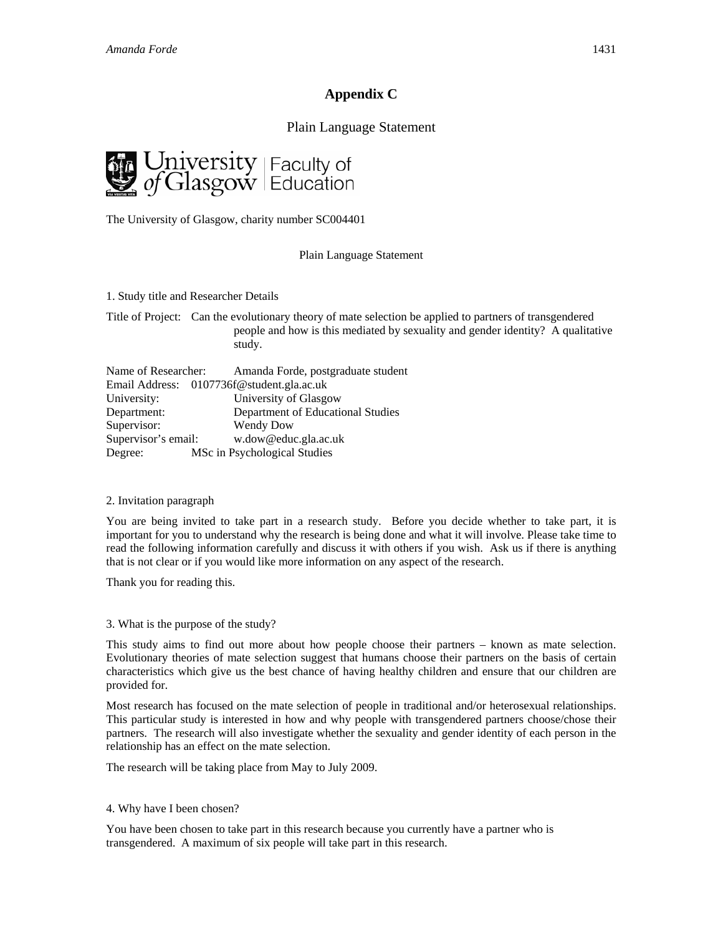# **Appendix C**

## Plain Language Statement



The University of Glasgow, charity number SC004401

#### Plain Language Statement

1. Study title and Researcher Details

Title of Project: Can the evolutionary theory of mate selection be applied to partners of transgendered people and how is this mediated by sexuality and gender identity? A qualitative study.

|                     | Name of Researcher: Amanda Forde, postgraduate student |
|---------------------|--------------------------------------------------------|
|                     | Email Address: 0107736f@student.gla.ac.uk              |
| University:         | University of Glasgow                                  |
| Department:         | Department of Educational Studies                      |
| Supervisor:         | <b>Wendy Dow</b>                                       |
| Supervisor's email: | w.dow@educ.gla.ac.uk                                   |
| Degree:             | MSc in Psychological Studies                           |

#### 2. Invitation paragraph

You are being invited to take part in a research study. Before you decide whether to take part, it is important for you to understand why the research is being done and what it will involve. Please take time to read the following information carefully and discuss it with others if you wish. Ask us if there is anything that is not clear or if you would like more information on any aspect of the research.

Thank you for reading this.

3. What is the purpose of the study?

This study aims to find out more about how people choose their partners – known as mate selection. Evolutionary theories of mate selection suggest that humans choose their partners on the basis of certain characteristics which give us the best chance of having healthy children and ensure that our children are provided for.

Most research has focused on the mate selection of people in traditional and/or heterosexual relationships. This particular study is interested in how and why people with transgendered partners choose/chose their partners. The research will also investigate whether the sexuality and gender identity of each person in the relationship has an effect on the mate selection.

The research will be taking place from May to July 2009.

#### 4. Why have I been chosen?

You have been chosen to take part in this research because you currently have a partner who is transgendered. A maximum of six people will take part in this research.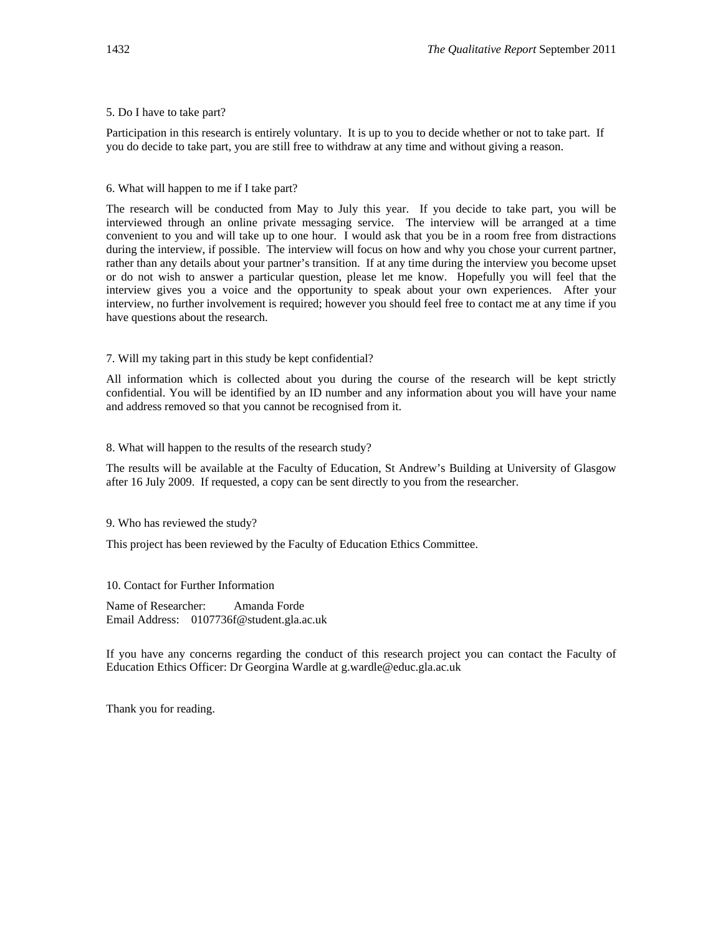#### 5. Do I have to take part?

Participation in this research is entirely voluntary. It is up to you to decide whether or not to take part. If you do decide to take part, you are still free to withdraw at any time and without giving a reason.

6. What will happen to me if I take part?

The research will be conducted from May to July this year. If you decide to take part, you will be interviewed through an online private messaging service. The interview will be arranged at a time convenient to you and will take up to one hour. I would ask that you be in a room free from distractions during the interview, if possible. The interview will focus on how and why you chose your current partner, rather than any details about your partner's transition. If at any time during the interview you become upset or do not wish to answer a particular question, please let me know. Hopefully you will feel that the interview gives you a voice and the opportunity to speak about your own experiences. After your interview, no further involvement is required; however you should feel free to contact me at any time if you have questions about the research.

#### 7. Will my taking part in this study be kept confidential?

All information which is collected about you during the course of the research will be kept strictly confidential. You will be identified by an ID number and any information about you will have your name and address removed so that you cannot be recognised from it.

8. What will happen to the results of the research study?

The results will be available at the Faculty of Education, St Andrew's Building at University of Glasgow after 16 July 2009. If requested, a copy can be sent directly to you from the researcher.

9. Who has reviewed the study?

This project has been reviewed by the Faculty of Education Ethics Committee.

10. Contact for Further Information

Name of Researcher: Amanda Forde Email Address: 0107736f@student.gla.ac.uk

If you have any concerns regarding the conduct of this research project you can contact the Faculty of Education Ethics Officer: Dr Georgina Wardle at g.wardle@educ.gla.ac.uk

Thank you for reading.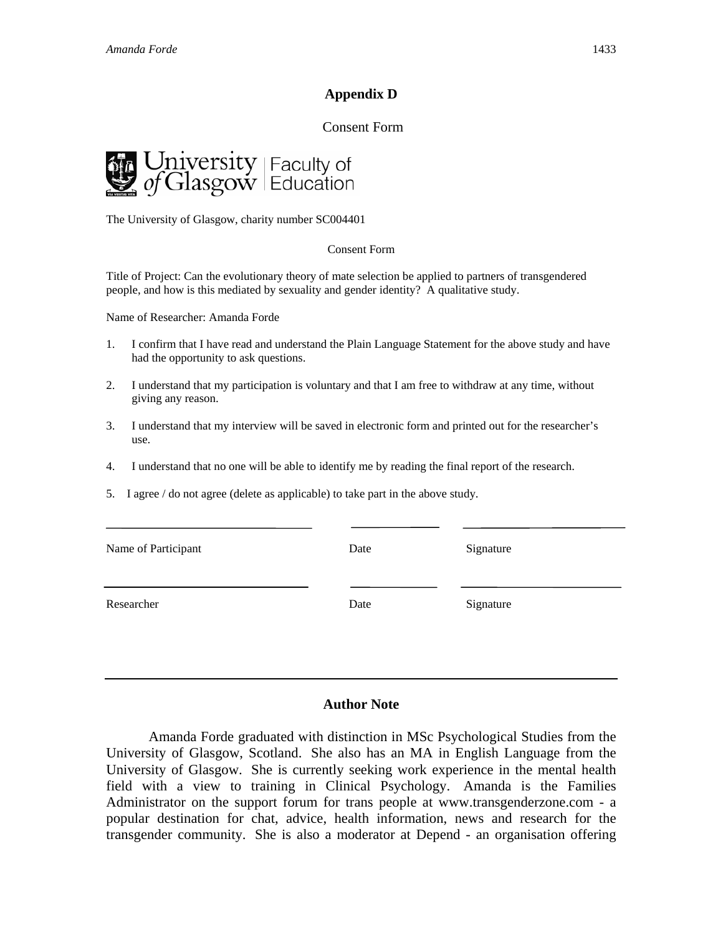# **Appendix D**

## Consent Form



The University of Glasgow, charity number SC004401

#### Consent Form

Title of Project: Can the evolutionary theory of mate selection be applied to partners of transgendered people, and how is this mediated by sexuality and gender identity? A qualitative study.

Name of Researcher: Amanda Forde

- 1. I confirm that I have read and understand the Plain Language Statement for the above study and have had the opportunity to ask questions.
- 2. I understand that my participation is voluntary and that I am free to withdraw at any time, without giving any reason.
- 3. I understand that my interview will be saved in electronic form and printed out for the researcher's use.
- 4. I understand that no one will be able to identify me by reading the final report of the research.
- 5. I agree / do not agree (delete as applicable) to take part in the above study.

| Name of Participant | Date | Signature |
|---------------------|------|-----------|
| Researcher          | Date | Signature |

## **Author Note**

Amanda Forde graduated with distinction in MSc Psychological Studies from the University of Glasgow, Scotland. She also has an MA in English Language from the University of Glasgow. She is currently seeking work experience in the mental health field with a view to training in Clinical Psychology. Amanda is the Families Administrator on the support forum for trans people at www.transgenderzone.com - a popular destination for chat, advice, health information, news and research for the transgender community. She is also a moderator at Depend - an organisation offering